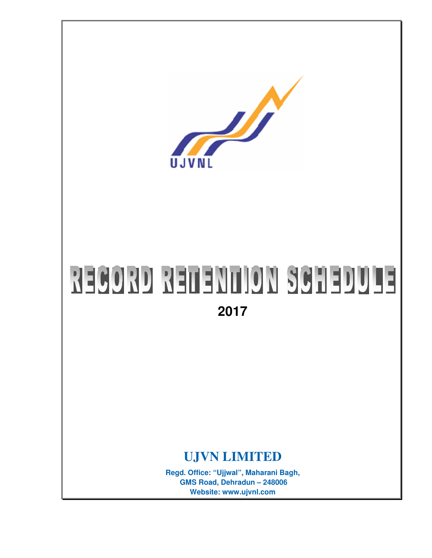

# RECORD RETENTION SCHEDULE

**2017**

# **UJVN LIMITED**

**Regd. Office: "Ujjwal", Maharani Bagh, GMS Road, Dehradun – 248006 Website: www.ujvnl.com**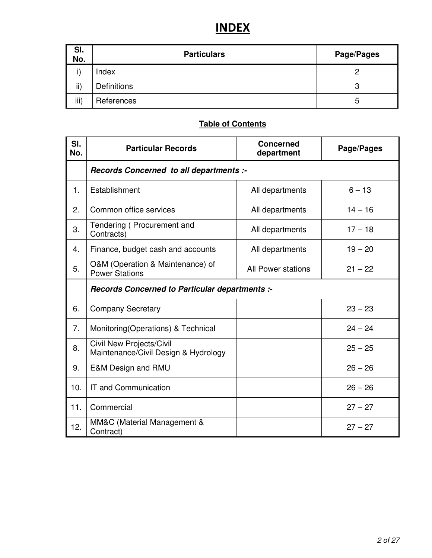# **INDEX**

| SI.<br>No. | <b>Particulars</b> | Page/Pages |
|------------|--------------------|------------|
|            | Index              |            |
| ii)        | <b>Definitions</b> | 3          |
| iii)       | References         | 5          |

## **Table of Contents**

| SI.<br>No. | <b>Particular Records</b>                                        | <b>Concerned</b><br>department | Page/Pages |  |
|------------|------------------------------------------------------------------|--------------------------------|------------|--|
|            | Records Concerned to all departments :-                          |                                |            |  |
| 1.         | Establishment                                                    | All departments                | $6 - 13$   |  |
| 2.         | Common office services                                           | All departments                | $14 - 16$  |  |
| 3.         | Tendering (Procurement and<br>Contracts)                         | All departments                | $17 - 18$  |  |
| 4.         | Finance, budget cash and accounts                                | All departments                | $19 - 20$  |  |
| 5.         | O&M (Operation & Maintenance) of<br><b>Power Stations</b>        | All Power stations             | $21 - 22$  |  |
|            | Records Concerned to Particular departments :-                   |                                |            |  |
| 6.         | <b>Company Secretary</b>                                         |                                | $23 - 23$  |  |
| 7.         | Monitoring (Operations) & Technical                              |                                | $24 - 24$  |  |
| 8.         | Civil New Projects/Civil<br>Maintenance/Civil Design & Hydrology |                                | $25 - 25$  |  |
| 9.         | <b>E&amp;M Design and RMU</b>                                    |                                | $26 - 26$  |  |
| 10.        | IT and Communication                                             |                                | $26 - 26$  |  |
| 11.        | Commercial                                                       |                                | $27 - 27$  |  |
| 12.        | MM&C (Material Management &<br>Contract)                         |                                | $27 - 27$  |  |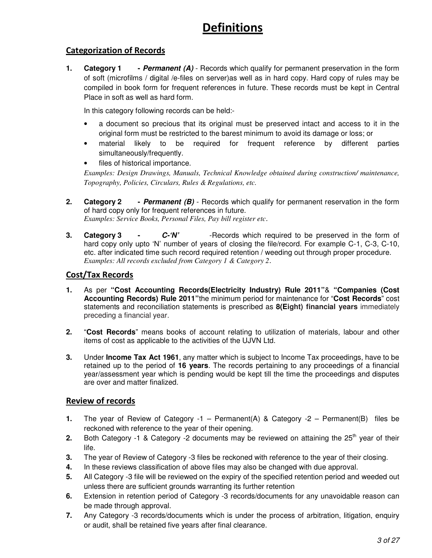# **Definitions**

## **Categorization of Records**

**1. Category 1 -** *Permanent (A)* - Records which qualify for permanent preservation in the form of soft (microfilms / digital /e-files on server)as well as in hard copy. Hard copy of rules may be compiled in book form for frequent references in future. These records must be kept in Central Place in soft as well as hard form.

In this category following records can be held:-

- a document so precious that its original must be preserved intact and access to it in the original form must be restricted to the barest minimum to avoid its damage or loss; or
- material likely to be required for frequent reference by different parties simultaneously/frequently.
- files of historical importance.

*Examples: Design Drawings, Manuals, Technical Knowledge obtained during construction/ maintenance, Topography, Policies, Circulars, Rules & Regulations, etc.*

- **2. Category 2 -** *Permanent (B)* Records which qualify for permanent reservation in the form of hard copy only for frequent references in future. *Examples: Service Books, Personal Files, Pay bill register etc.*
- **3. Category 3 -** *C-'N'* -Records which required to be preserved in the form of hard copy only upto 'N' number of years of closing the file/record. For example C-1, C-3, C-10, etc. after indicated time such record required retention / weeding out through proper procedure. *Examples: All records excluded from Category 1 & Category 2.*

## **Cost/Tax Records**

- **1.** As per **"Cost Accounting Records(Electricity Industry) Rule 2011"**& **"Companies (Cost Accounting Records) Rule 2011"**the minimum period for maintenance for "**Cost Records**" cost statements and reconciliation statements is prescribed as **8(Eight) financial years** immediately preceding a financial year.
- **2.** "**Cost Records**" means books of account relating to utilization of materials, labour and other items of cost as applicable to the activities of the UJVN Ltd.
- **3.** Under **Income Tax Act 1961**, any matter which is subject to Income Tax proceedings, have to be retained up to the period of **16 years**. The records pertaining to any proceedings of a financial year/assessment year which is pending would be kept till the time the proceedings and disputes are over and matter finalized.

## **Review of records**

- **1.** The year of Review of Category -1 Permanent(A) & Category -2 Permanent(B) files be reckoned with reference to the year of their opening.
- 2. Both Category -1 & Category -2 documents may be reviewed on attaining the 25<sup>th</sup> year of their life.
- **3.** The year of Review of Category -3 files be reckoned with reference to the year of their closing.
- **4.** In these reviews classification of above files may also be changed with due approval.
- **5.** All Category -3 file will be reviewed on the expiry of the specified retention period and weeded out unless there are sufficient grounds warranting its further retention
- **6.** Extension in retention period of Category -3 records/documents for any unavoidable reason can be made through approval.
- **7.** Any Category -3 records/documents which is under the process of arbitration, litigation, enquiry or audit, shall be retained five years after final clearance.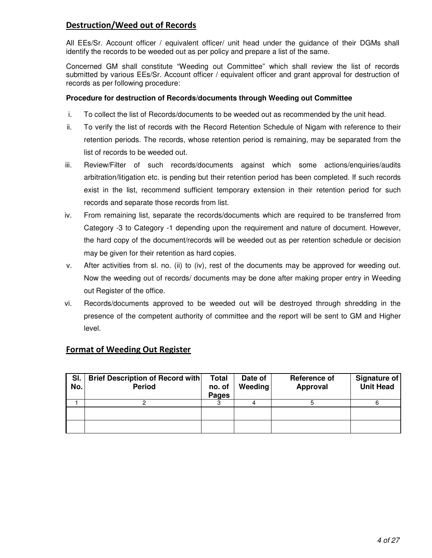## **Destruction/Weed out of Records**

All EEs/Sr. Account officer / equivalent officer/ unit head under the guidance of their DGMs shall identify the records to be weeded out as per policy and prepare a list of the same.

Concerned GM shall constitute "Weeding out Committee" which shall review the list of records submitted by various EEs/Sr. Account officer / equivalent officer and grant approval for destruction of records as per following procedure:

#### **Procedure for destruction of Records/documents through Weeding out Committee**

- i. To collect the list of Records/documents to be weeded out as recommended by the unit head.
- ii. To verify the list of records with the Record Retention Schedule of Nigam with reference to their retention periods. The records, whose retention period is remaining, may be separated from the list of records to be weeded out.
- iii. Review/Filter of such records/documents against which some actions/enquiries/audits arbitration/litigation etc. is pending but their retention period has been completed. If such records exist in the list, recommend sufficient temporary extension in their retention period for such records and separate those records from list.
- iv. From remaining list, separate the records/documents which are required to be transferred from Category -3 to Category -1 depending upon the requirement and nature of document. However, the hard copy of the document/records will be weeded out as per retention schedule or decision may be given for their retention as hard copies.
- v. After activities from sl. no. (ii) to (iv), rest of the documents may be approved for weeding out. Now the weeding out of records/ documents may be done after making proper entry in Weeding out Register of the office.
- vi. Records/documents approved to be weeded out will be destroyed through shredding in the presence of the competent authority of committee and the report will be sent to GM and Higher level.

| SI.<br>No. | <b>Brief Description of Record with</b><br><b>Period</b> | <b>Total</b><br>no. of<br>Pages | Date of<br><b>Weeding</b> | Reference of<br>Approval | Signature of<br><b>Unit Head</b> |
|------------|----------------------------------------------------------|---------------------------------|---------------------------|--------------------------|----------------------------------|
|            |                                                          |                                 |                           |                          |                                  |
|            |                                                          |                                 |                           |                          |                                  |
|            |                                                          |                                 |                           |                          |                                  |

#### **Format of Weeding Out Register**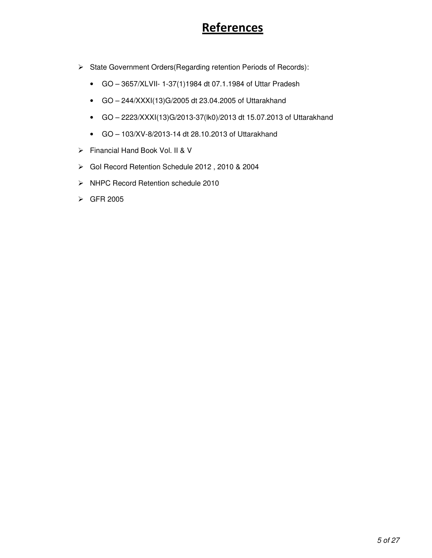# References

- State Government Orders(Regarding retention Periods of Records):
	- GO 3657/XLVII- 1-37(1)1984 dt 07.1.1984 of Uttar Pradesh
	- GO 244/XXXI(13)G/2005 dt 23.04.2005 of Uttarakhand
	- GO 2223/XXXI(13)G/2013-37(lk0)/2013 dt 15.07.2013 of Uttarakhand
	- GO 103/XV-8/2013-14 dt 28.10.2013 of Uttarakhand
- Financial Hand Book Vol. II & V
- GoI Record Retention Schedule 2012 , 2010 & 2004
- > NHPC Record Retention schedule 2010
- GFR 2005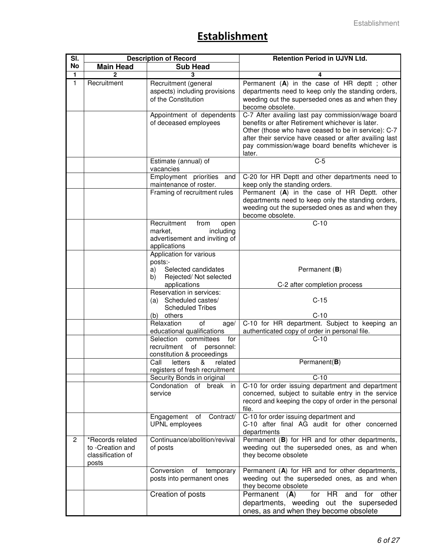## **Establishment**

| SI.            | <b>Description of Record</b>                                       |                                                                                                                                    | <b>Retention Period in UJVN Ltd.</b>                                                                                                                                                                                                                                                                                                                                                                                                                              |
|----------------|--------------------------------------------------------------------|------------------------------------------------------------------------------------------------------------------------------------|-------------------------------------------------------------------------------------------------------------------------------------------------------------------------------------------------------------------------------------------------------------------------------------------------------------------------------------------------------------------------------------------------------------------------------------------------------------------|
| No             | <b>Main Head</b>                                                   | <b>Sub Head</b>                                                                                                                    |                                                                                                                                                                                                                                                                                                                                                                                                                                                                   |
| 1              |                                                                    | 3                                                                                                                                  | 4                                                                                                                                                                                                                                                                                                                                                                                                                                                                 |
| $\overline{1}$ | Recruitment                                                        | Recruitment (general<br>aspects) including provisions<br>of the Constitution<br>Appointment of dependents<br>of deceased employees | Permanent (A) in the case of HR deptt; other<br>departments need to keep only the standing orders,<br>weeding out the superseded ones as and when they<br>become obsolete.<br>C-7 After availing last pay commission/wage board<br>benefits or after Retirement whichever is later.<br>Other (those who have ceased to be in service): C-7<br>after their service have ceased or after availing last<br>pay commission/wage board benefits whichever is<br>later. |
|                |                                                                    | Estimate (annual) of                                                                                                               | $C-5$                                                                                                                                                                                                                                                                                                                                                                                                                                                             |
|                |                                                                    | vacancies<br>Employment priorities and<br>maintenance of roster.<br>Framing of recruitment rules                                   | C-20 for HR Deptt and other departments need to<br>keep only the standing orders.<br>Permanent (A) in the case of HR Deptt. other<br>departments need to keep only the standing orders,<br>weeding out the superseded ones as and when they<br>become obsolete.                                                                                                                                                                                                   |
|                |                                                                    | Recruitment<br>from<br>open<br>market,<br>including<br>advertisement and inviting of<br>applications                               | $C-10$                                                                                                                                                                                                                                                                                                                                                                                                                                                            |
|                |                                                                    | Application for various<br>posts:-<br>Selected candidates<br>a)<br>Rejected/ Not selected<br>b)<br>applications                    | Permanent (B)<br>C-2 after completion process                                                                                                                                                                                                                                                                                                                                                                                                                     |
|                |                                                                    | Reservation in services:<br>(a) Scheduled castes/<br><b>Scheduled Tribes</b>                                                       | $C-15$                                                                                                                                                                                                                                                                                                                                                                                                                                                            |
|                |                                                                    | (b) others<br>Relaxation<br>of<br>age/                                                                                             | $C-10$<br>C-10 for HR department. Subject to keeping an                                                                                                                                                                                                                                                                                                                                                                                                           |
|                |                                                                    | educational qualifications                                                                                                         | authenticated copy of order in personal file.                                                                                                                                                                                                                                                                                                                                                                                                                     |
|                |                                                                    | committees<br>for<br>Selection<br>recruitment of<br>personnel:<br>constitution & proceedings                                       | $C-10$                                                                                                                                                                                                                                                                                                                                                                                                                                                            |
|                |                                                                    | Call<br>letters<br>&<br>related<br>registers of fresh recruitment                                                                  | Permanent $(B)$                                                                                                                                                                                                                                                                                                                                                                                                                                                   |
|                |                                                                    | Security Bonds in original                                                                                                         | $C-10$                                                                                                                                                                                                                                                                                                                                                                                                                                                            |
|                |                                                                    | Condonation of break<br>in<br>service                                                                                              | C-10 for order issuing department and department<br>concerned, subject to suitable entry in the service<br>record and keeping the copy of order in the personal<br>file.                                                                                                                                                                                                                                                                                          |
|                |                                                                    | Engagement<br>of<br>Contract/<br>UPNL employees                                                                                    | C-10 for order issuing department and<br>C-10 after final AG audit for other concerned<br>departments                                                                                                                                                                                                                                                                                                                                                             |
| $\overline{2}$ | *Records related<br>to -Creation and<br>classification of<br>posts | Continuance/abolition/revival<br>of posts                                                                                          | Permanent (B) for HR and for other departments,<br>weeding out the superseded ones, as and when<br>they become obsolete                                                                                                                                                                                                                                                                                                                                           |
|                |                                                                    | Conversion<br>of<br>temporary<br>posts into permanent ones                                                                         | Permanent (A) for HR and for other departments,<br>weeding out the superseded ones, as and when<br>they become obsolete                                                                                                                                                                                                                                                                                                                                           |
|                |                                                                    | Creation of posts                                                                                                                  | Permanent<br>HR<br>other<br>(A)<br>for<br>for<br>and<br>departments, weeding<br>out the superseded<br>ones, as and when they become obsolete                                                                                                                                                                                                                                                                                                                      |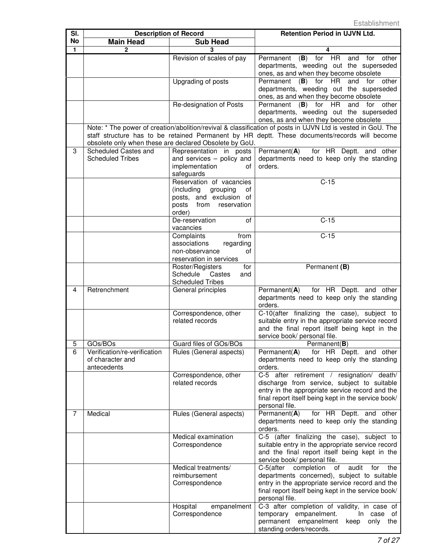| SI.          | <b>Description of Record</b>                                    |                                                                                                                            | <b>Retention Period in UJVN Ltd.</b>                                                                                                                                                                                  |
|--------------|-----------------------------------------------------------------|----------------------------------------------------------------------------------------------------------------------------|-----------------------------------------------------------------------------------------------------------------------------------------------------------------------------------------------------------------------|
| No           | <b>Main Head</b>                                                | <b>Sub Head</b>                                                                                                            |                                                                                                                                                                                                                       |
| $\mathbf{1}$ | $\mathbf 2$                                                     | 3                                                                                                                          | 4                                                                                                                                                                                                                     |
|              |                                                                 | Revision of scales of pay                                                                                                  | (B)<br>for HR<br>Permanent<br>and<br>for<br>other<br>departments, weeding out the superseded<br>ones, as and when they become obsolete                                                                                |
|              |                                                                 | Upgrading of posts                                                                                                         | Permanent<br>for HR<br>and<br>for other<br>(B)<br>departments, weeding out the superseded<br>ones, as and when they become obsolete                                                                                   |
|              |                                                                 | Re-designation of Posts                                                                                                    | $(B)$ for<br><b>HR</b><br>Permanent<br>and for other<br>departments, weeding out the superseded<br>ones, as and when they become obsolete                                                                             |
|              |                                                                 | obsolete only when these are declared Obsolete by GoU.                                                                     | Note: * The power of creation/abolition/revival & classification of posts in UJVN Ltd is vested in GoU. The<br>staff structure has to be retained Permanent by HR deptt. These documents/records will become          |
| 3            | Scheduled Castes and<br><b>Scheduled Tribes</b>                 | Representation in posts<br>and services - policy and<br>implementation<br>οf<br>safeguards                                 | Permanent $(A)$<br>for HR Deptt. and other<br>departments need to keep only the standing<br>orders.                                                                                                                   |
|              |                                                                 | Reservation of vacancies<br>(including<br>grouping<br>οf<br>posts, and exclusion of<br>posts<br>from reservation<br>order) | $C-15$                                                                                                                                                                                                                |
|              |                                                                 | De-reservation<br>of<br>vacancies                                                                                          | $C-15$                                                                                                                                                                                                                |
|              |                                                                 | Complaints<br>from<br>associations<br>regarding<br>non-observance<br>οf<br>reservation in services                         | $C-15$                                                                                                                                                                                                                |
|              |                                                                 | Roster/Registers<br>for<br>Schedule<br>Castes<br>and<br><b>Scheduled Tribes</b>                                            | Permanent (B)                                                                                                                                                                                                         |
| 4            | Retrenchment                                                    | General principles                                                                                                         | Permanent(A)<br>for HR Deptt. and other<br>departments need to keep only the standing<br>orders.                                                                                                                      |
|              |                                                                 | Correspondence, other<br>related records                                                                                   | C-10(after finalizing the case), subject to<br>suitable entry in the appropriate service record<br>and the final report itself being kept in the<br>service book/ personal file.                                      |
| 5            | GOs/BOs                                                         | Guard files of GOs/BOs                                                                                                     | Permanent(B)                                                                                                                                                                                                          |
| 6            | Verification/re-verification<br>of character and<br>antecedents | Rules (General aspects)                                                                                                    | Permanent(A) for HR Deptt. and other<br>departments need to keep only the standing<br>orders.                                                                                                                         |
|              |                                                                 | Correspondence, other<br>related records                                                                                   | C-5 after retirement / resignation/ death/<br>discharge from service, subject to suitable<br>entry in the appropriate service record and the<br>final report itself being kept in the service book/<br>personal file. |
| 7            | Medical                                                         | Rules (General aspects)                                                                                                    | Permanent(A)<br>for HR Deptt. and other<br>departments need to keep only the standing<br>orders.                                                                                                                      |
|              |                                                                 | Medical examination<br>Correspondence                                                                                      | C-5 (after finalizing the case), subject to<br>suitable entry in the appropriate service record<br>and the final report itself being kept in the<br>service book/ personal file.                                      |
|              |                                                                 | Medical treatments/<br>reimbursement<br>Correspondence                                                                     | C-5(after completion of audit for the<br>departments concerned), subject to suitable<br>entry in the appropriate service record and the<br>final report itself being kept in the service book/<br>personal file.      |
|              |                                                                 | Hospital<br>empanelment<br>Correspondence                                                                                  | C-3 after completion of validity, in case of<br>temporary empanelment.<br>In case of<br>permanent empanelment keep only the<br>standing orders/records.                                                               |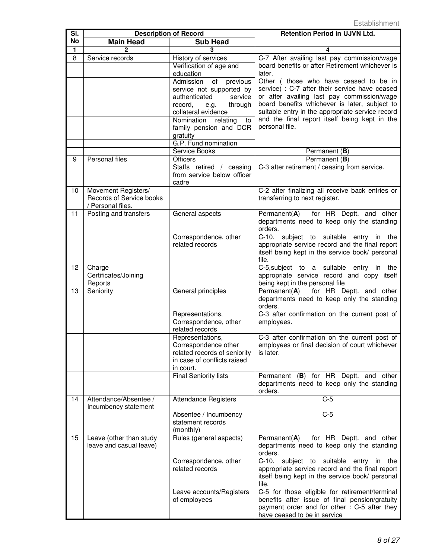| SI. | <b>Description of Record</b> |                                                      | <b>Retention Period in UJVN Ltd.</b>                                                               |
|-----|------------------------------|------------------------------------------------------|----------------------------------------------------------------------------------------------------|
| No  | <b>Main Head</b>             | <b>Sub Head</b>                                      |                                                                                                    |
| 1   | $\mathfrak{p}$               | 3                                                    | 4                                                                                                  |
| 8   | Service records              | History of services                                  | C-7 After availing last pay commission/wage                                                        |
|     |                              | Verification of age and                              | board benefits or after Retirement whichever is                                                    |
|     |                              | education                                            | later.                                                                                             |
|     |                              | Admission<br>of<br>previous                          | Other (those who have ceased to be in                                                              |
|     |                              | service not supported by<br>authenticated<br>service | service) : C-7 after their service have ceased<br>or after availing last pay commission/wage       |
|     |                              | record,<br>through<br>e.g.                           | board benefits whichever is later, subject to                                                      |
|     |                              | collateral evidence                                  | suitable entry in the appropriate service record                                                   |
|     |                              | Nomination<br>relating<br>to                         | and the final report itself being kept in the                                                      |
|     |                              | family pension and DCR                               | personal file.                                                                                     |
|     |                              | gratuity                                             |                                                                                                    |
|     |                              | G.P. Fund nomination                                 |                                                                                                    |
|     |                              | Service Books                                        | Permanent (B)                                                                                      |
| 9   | Personal files               | <b>Officers</b>                                      | Permanent (B)                                                                                      |
|     |                              | Staffs retired / ceasing                             | C-3 after retirement / ceasing from service.                                                       |
|     |                              | from service below officer                           |                                                                                                    |
| 10  | Movement Registers/          | cadre                                                | C-2 after finalizing all receive back entries or                                                   |
|     | Records of Service books     |                                                      | transferring to next register.                                                                     |
|     | / Personal files.            |                                                      |                                                                                                    |
| 11  | Posting and transfers        | General aspects                                      | Permanent(A) for HR Deptt. and other                                                               |
|     |                              |                                                      | departments need to keep only the standing                                                         |
|     |                              |                                                      | orders.                                                                                            |
|     |                              | Correspondence, other                                | C-10, subject to suitable entry<br>in the                                                          |
|     |                              | related records                                      | appropriate service record and the final report                                                    |
|     |                              |                                                      | itself being kept in the service book/ personal<br>file.                                           |
| 12  | Charge                       |                                                      | C-5, subject to a suitable entry in<br>the                                                         |
|     | Certificates/Joining         |                                                      | appropriate service record and copy itself                                                         |
|     | Reports                      |                                                      | being kept in the personal file                                                                    |
| 13  | Seniority                    | General principles                                   | Permanent( $\overline{A}$ ) for HR Deptt. and other                                                |
|     |                              |                                                      | departments need to keep only the standing                                                         |
|     |                              |                                                      | orders.                                                                                            |
|     |                              | Representations,                                     | C-3 after confirmation on the current post of                                                      |
|     |                              | Correspondence, other<br>related records             | employees.                                                                                         |
|     |                              | Representations,                                     | C-3 after confirmation on the current post of                                                      |
|     |                              | Correspondence other                                 | employees or final decision of court whichever                                                     |
|     |                              | related records of seniority                         | is later.                                                                                          |
|     |                              | in case of conflicts raised                          |                                                                                                    |
|     |                              | in court.                                            |                                                                                                    |
|     |                              | <b>Final Seniority lists</b>                         | Permanent (B) for HR Deptt. and other                                                              |
|     |                              |                                                      | departments need to keep only the standing                                                         |
| 14  | Attendance/Absentee /        |                                                      | orders.<br>$C-5$                                                                                   |
|     | Incumbency statement         | <b>Attendance Registers</b>                          |                                                                                                    |
|     |                              | Absentee / Incumbency                                | $C-5$                                                                                              |
|     |                              | statement records                                    |                                                                                                    |
|     |                              | (monthly)                                            |                                                                                                    |
| 15  | Leave (other than study      | Rules (general aspects)                              | for HR Deptt. and other<br>Permanent $(A)$                                                         |
|     | leave and casual leave)      |                                                      | departments need to keep only the standing                                                         |
|     |                              |                                                      | orders.                                                                                            |
|     |                              | Correspondence, other<br>related records             | C-10, subject to suitable<br>entry<br>in<br>the                                                    |
|     |                              |                                                      | appropriate service record and the final report<br>itself being kept in the service book/ personal |
|     |                              |                                                      | file.                                                                                              |
|     |                              | Leave accounts/Registers                             | C-5 for those eligible for retirement/terminal                                                     |
|     |                              | of employees                                         | benefits after issue of final pension/gratuity                                                     |
|     |                              |                                                      | payment order and for other : C-5 after they                                                       |
|     |                              |                                                      | have ceased to be in service                                                                       |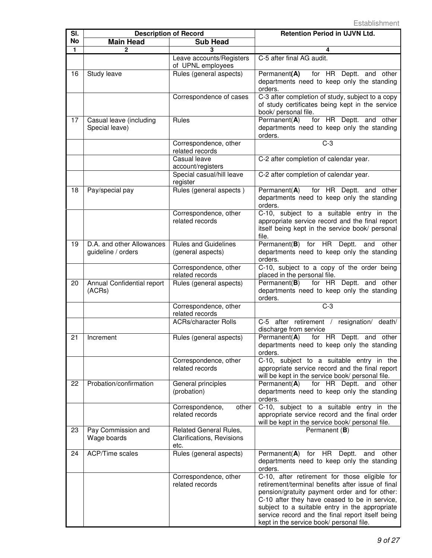| SI.       | <b>Description of Record</b>                    |                                                             | <b>Retention Period in UJVN Ltd.</b>                                                                                                                                                                                                                                                                                                                   |
|-----------|-------------------------------------------------|-------------------------------------------------------------|--------------------------------------------------------------------------------------------------------------------------------------------------------------------------------------------------------------------------------------------------------------------------------------------------------------------------------------------------------|
| <b>No</b> | <b>Main Head</b>                                | <b>Sub Head</b>                                             |                                                                                                                                                                                                                                                                                                                                                        |
| 1         | 2                                               | 3                                                           | 4                                                                                                                                                                                                                                                                                                                                                      |
|           |                                                 | Leave accounts/Registers                                    | C-5 after final AG audit.                                                                                                                                                                                                                                                                                                                              |
| 16        | Study leave                                     | of UPNL employees<br>Rules (general aspects)                | Permanent(A)<br>for HR Deptt. and other<br>departments need to keep only the standing<br>orders.                                                                                                                                                                                                                                                       |
|           |                                                 | Correspondence of cases                                     | C-3 after completion of study, subject to a copy<br>of study certificates being kept in the service<br>book/ personal file.                                                                                                                                                                                                                            |
| 17        | Casual leave (including<br>Special leave)       | Rules                                                       | Permanent(A)<br>for HR Deptt. and other<br>departments need to keep only the standing<br>orders.                                                                                                                                                                                                                                                       |
|           |                                                 | Correspondence, other<br>related records                    | $C-3$                                                                                                                                                                                                                                                                                                                                                  |
|           |                                                 | Casual leave<br>account/registers                           | C-2 after completion of calendar year.                                                                                                                                                                                                                                                                                                                 |
|           |                                                 | Special casual/hill leave<br>register                       | C-2 after completion of calendar year.                                                                                                                                                                                                                                                                                                                 |
| 18        | Pay/special pay                                 | Rules (general aspects)<br>Correspondence, other            | for HR Deptt. and other<br>Permanent $(A)$<br>departments need to keep only the standing<br>orders.<br>C-10, subject to a suitable entry in the                                                                                                                                                                                                        |
|           |                                                 | related records                                             | appropriate service record and the final report<br>itself being kept in the service book/ personal<br>file.                                                                                                                                                                                                                                            |
| 19        | D.A. and other Allowances<br>guideline / orders | <b>Rules and Guidelines</b><br>(general aspects)            | Permanent(B) for HR Deptt.<br>and other<br>departments need to keep only the standing<br>orders.                                                                                                                                                                                                                                                       |
|           |                                                 | Correspondence, other<br>related records                    | C-10, subject to a copy of the order being<br>placed in the personal file.                                                                                                                                                                                                                                                                             |
| 20        | Annual Confidential report<br>(ACRs)            | Rules (general aspects)                                     | Permanent(B)<br>for HR Deptt. and other<br>departments need to keep only the standing<br>orders.                                                                                                                                                                                                                                                       |
|           |                                                 | Correspondence, other<br>related records                    | $C-3$                                                                                                                                                                                                                                                                                                                                                  |
|           |                                                 | <b>ACRs/character Rolls</b>                                 | resignation/ death/<br>C-5 after retirement /<br>discharge from service                                                                                                                                                                                                                                                                                |
| 21        | Increment                                       | Rules (general aspects)                                     | for HR Deptt. and other<br>Permanent(A)<br>departments need to keep only the standing<br>orders.                                                                                                                                                                                                                                                       |
|           |                                                 | Correspondence, other<br>related records                    | C-10, subject to a suitable entry in the<br>appropriate service record and the final report<br>will be kept in the service book/ personal file.                                                                                                                                                                                                        |
| 22        | Probation/confirmation                          | General principles<br>(probation)                           | Permanent $(A)$<br>for HR Deptt. and other<br>departments need to keep only the standing<br>orders.                                                                                                                                                                                                                                                    |
|           |                                                 | other<br>Correspondence,<br>related records                 | C-10, subject to a suitable entry in the<br>appropriate service record and the final order<br>will be kept in the service book/ personal file.                                                                                                                                                                                                         |
| 23        | Pay Commission and<br>Wage boards               | Related General Rules,<br>Clarifications, Revisions<br>etc. | Permanent (B)                                                                                                                                                                                                                                                                                                                                          |
| 24        | <b>ACP/Time scales</b>                          | Rules (general aspects)                                     | Permanent(A) for HR Deptt. and other<br>departments need to keep only the standing<br>orders.                                                                                                                                                                                                                                                          |
|           |                                                 | Correspondence, other<br>related records                    | C-10, after retirement for those eligible for<br>retirement/terminal benefits after issue of final<br>pension/gratuity payment order and for other:<br>C-10 after they have ceased to be in service,<br>subject to a suitable entry in the appropriate<br>service record and the final report itself being<br>kept in the service book/ personal file. |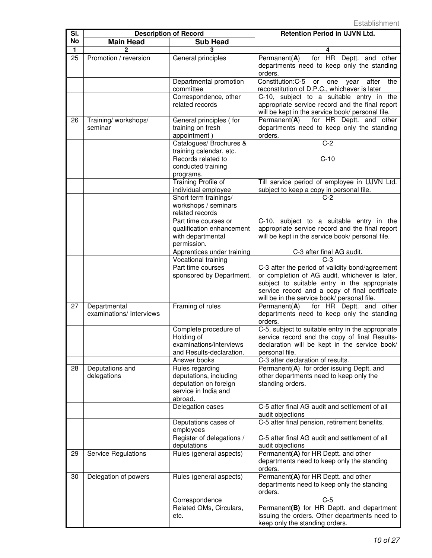| SI. | <b>Description of Record</b>             |                                                                                                       | <b>Retention Period in UJVN Ltd.</b>                                                                                                                                                                                                               |
|-----|------------------------------------------|-------------------------------------------------------------------------------------------------------|----------------------------------------------------------------------------------------------------------------------------------------------------------------------------------------------------------------------------------------------------|
| No  | <b>Main Head</b>                         | <b>Sub Head</b>                                                                                       |                                                                                                                                                                                                                                                    |
| 1   |                                          |                                                                                                       |                                                                                                                                                                                                                                                    |
| 25  | Promotion / reversion                    | General principles                                                                                    | for HR Deptt. and other<br>Permanent $(A)$<br>departments need to keep only the standing<br>orders.                                                                                                                                                |
|     |                                          | Departmental promotion<br>committee                                                                   | Constitution: C-5 or<br>one<br>year<br>after<br>the<br>reconstitution of D.P.C., whichever is later                                                                                                                                                |
|     |                                          | Correspondence, other<br>related records                                                              | C-10, subject to a suitable entry in the<br>appropriate service record and the final report<br>will be kept in the service book/ personal file.                                                                                                    |
| 26  | Training/workshops/<br>seminar           | General principles (for<br>training on fresh<br>appointment)                                          | for HR Deptt. and other<br>Permanent(A)<br>departments need to keep only the standing<br>orders.                                                                                                                                                   |
|     |                                          | Catalogues/ Brochures &                                                                               | $\overline{C-2}$                                                                                                                                                                                                                                   |
|     |                                          | training calendar, etc.<br>Records related to<br>conducted training<br>programs.                      | $C-10$                                                                                                                                                                                                                                             |
|     |                                          | Training Profile of<br>individual employee                                                            | Till service period of employee in UJVN Ltd.<br>subject to keep a copy in personal file.                                                                                                                                                           |
|     |                                          | Short term trainings/<br>workshops / seminars<br>related records                                      | $C-2$                                                                                                                                                                                                                                              |
|     |                                          | Part time courses or<br>qualification enhancement<br>with departmental<br>permission.                 | C-10, subject to a suitable entry in the<br>appropriate service record and the final report<br>will be kept in the service book/ personal file.                                                                                                    |
|     |                                          | Apprentices under training                                                                            | C-3 after final AG audit.                                                                                                                                                                                                                          |
|     |                                          | Vocational training                                                                                   | $C-3$                                                                                                                                                                                                                                              |
|     |                                          | Part time courses<br>sponsored by Department.                                                         | C-3 after the period of validity bond/agreement<br>or completion of AG audit, whichever is later,<br>subject to suitable entry in the appropriate<br>service record and a copy of final certificate<br>will be in the service book/ personal file. |
| 27  | Departmental<br>examinations/ Interviews | Framing of rules                                                                                      | for HR Deptt. and other<br>Permanent(A)<br>departments need to keep only the standing<br>orders.                                                                                                                                                   |
|     |                                          | Complete procedure of<br>Holding of<br>examinations/interviews<br>and Results-declaration.            | C-5, subject to suitable entry in the appropriate<br>service record and the copy of final Results-<br>declaration will be kept in the service book/<br>personal file.                                                                              |
|     |                                          | Answer books                                                                                          | C-3 after declaration of results.                                                                                                                                                                                                                  |
| 28  | Deputations and<br>delegations           | Rules regarding<br>deputations, including<br>deputation on foreign<br>service in India and<br>abroad. | Permanent(A) for order issuing Deptt. and<br>other departments need to keep only the<br>standing orders.                                                                                                                                           |
|     |                                          | Delegation cases                                                                                      | C-5 after final AG audit and settlement of all<br>audit objections                                                                                                                                                                                 |
|     |                                          | Deputations cases of<br>employees                                                                     | C-5 after final pension, retirement benefits.                                                                                                                                                                                                      |
|     |                                          | Register of delegations /<br>deputations                                                              | C-5 after final AG audit and settlement of all<br>audit objections                                                                                                                                                                                 |
| 29  | Service Regulations                      | Rules (general aspects)                                                                               | Permanent(A) for HR Deptt. and other<br>departments need to keep only the standing<br>orders.                                                                                                                                                      |
| 30  | Delegation of powers                     | Rules (general aspects)                                                                               | Permanent(A) for HR Deptt. and other<br>departments need to keep only the standing<br>orders.                                                                                                                                                      |
|     |                                          | Correspondence                                                                                        | $C-5$                                                                                                                                                                                                                                              |
|     |                                          | Related OMs, Circulars,<br>etc.                                                                       | Permanent(B) for HR Deptt. and department<br>issuing the orders. Other departments need to<br>keep only the standing orders.                                                                                                                       |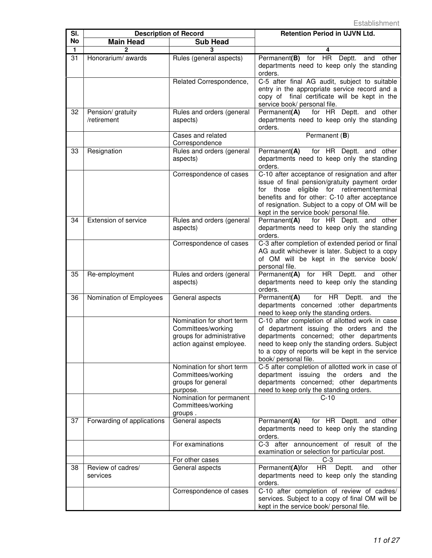| SI.             | <b>Description of Record</b>     |                                                                                                          | <b>Retention Period in UJVN Ltd.</b>                                                                                                                                                                                                                                                             |
|-----------------|----------------------------------|----------------------------------------------------------------------------------------------------------|--------------------------------------------------------------------------------------------------------------------------------------------------------------------------------------------------------------------------------------------------------------------------------------------------|
| No              | <b>Main Head</b>                 | <b>Sub Head</b>                                                                                          |                                                                                                                                                                                                                                                                                                  |
| 1               |                                  | 3                                                                                                        | 4                                                                                                                                                                                                                                                                                                |
| 31              | Honorarium/ awards               | Rules (general aspects)                                                                                  | Permanent(B) for HR Deptt.<br>and<br>other<br>departments need to keep only the standing<br>orders.                                                                                                                                                                                              |
|                 |                                  | Related Correspondence,                                                                                  | C-5 after final AG audit, subject to suitable<br>entry in the appropriate service record and a<br>copy of final certificate will be kept in the<br>service book/ personal file.                                                                                                                  |
| $\overline{32}$ | Pension/ gratuity<br>/retirement | Rules and orders (general<br>aspects)                                                                    | Permanent(A) for HR Deptt. and other<br>departments need to keep only the standing<br>orders.                                                                                                                                                                                                    |
|                 |                                  | Cases and related<br>Correspondence                                                                      | Permanent (B)                                                                                                                                                                                                                                                                                    |
| 33              | Resignation                      | Rules and orders (general<br>aspects)                                                                    | for HR Deptt. and other<br>Permanent(A)<br>departments need to keep only the standing<br>orders.                                                                                                                                                                                                 |
|                 |                                  | Correspondence of cases                                                                                  | C-10 after acceptance of resignation and after<br>issue of final pension/gratuity payment order<br>eligible for retirement/terminal<br>for those<br>benefits and for other: C-10 after acceptance<br>of resignation. Subject to a copy of OM will be<br>kept in the service book/ personal file. |
| 34              | Extension of service             | Rules and orders (general<br>aspects)                                                                    | Permanent(A)<br>for HR Deptt. and other<br>departments need to keep only the standing<br>orders.                                                                                                                                                                                                 |
|                 |                                  | Correspondence of cases                                                                                  | C-3 after completion of extended period or final<br>AG audit whichever is later. Subject to a copy<br>of OM will be kept in the service book/<br>personal file.                                                                                                                                  |
| 35              | Re-employment                    | Rules and orders (general<br>aspects)                                                                    | Permanent(A) for HR Deptt.<br>and<br>other<br>departments need to keep only the standing<br>orders.                                                                                                                                                                                              |
| 36              | Nomination of Employees          | General aspects                                                                                          | for HR Deptt.<br>Permanent(A)<br>and<br>the<br>departments concerned :other departments<br>need to keep only the standing orders.                                                                                                                                                                |
|                 |                                  | Nomination for short term<br>Committees/working<br>groups for administrative<br>action against employee. | C-10 after completion of allotted work in case<br>of department issuing the orders and the<br>departments concerned; other departments<br>need to keep only the standing orders. Subject<br>to a copy of reports will be kept in the service<br>book/ personal file.                             |
|                 |                                  | Nomination for short term<br>Committees/working<br>groups for general<br>purpose.                        | C-5 after completion of allotted work in case of<br>department issuing the orders and the<br>departments concerned; other departments<br>need to keep only the standing orders.                                                                                                                  |
|                 |                                  | Nomination for permanent<br>Committees/working<br>groups.                                                | $C-10$                                                                                                                                                                                                                                                                                           |
| 37              | Forwarding of applications       | General aspects                                                                                          | Permanent(A)<br>for HR Deptt. and other<br>departments need to keep only the standing<br>orders.                                                                                                                                                                                                 |
|                 |                                  | For examinations                                                                                         | C-3 after announcement of result of the<br>examination or selection for particular post.                                                                                                                                                                                                         |
|                 |                                  | For other cases                                                                                          | C-3                                                                                                                                                                                                                                                                                              |
| 38              | Review of cadres/<br>services    | General aspects                                                                                          | HR Deptt.<br>Permanent(A)for<br>other<br>and<br>departments need to keep only the standing<br>orders.                                                                                                                                                                                            |
|                 |                                  | Correspondence of cases                                                                                  | C-10 after completion of review of cadres/<br>services. Subject to a copy of final OM will be<br>kept in the service book/ personal file.                                                                                                                                                        |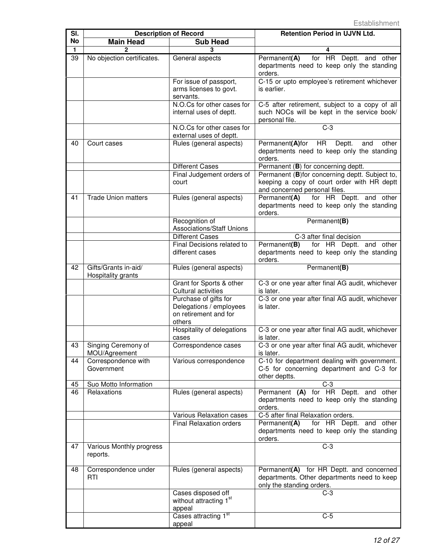| SI.      | <b>Description of Record</b>                               |                                                                                     | <b>Retention Period in UJVN Ltd.</b>                                                                                           |
|----------|------------------------------------------------------------|-------------------------------------------------------------------------------------|--------------------------------------------------------------------------------------------------------------------------------|
| No       | <b>Main Head</b>                                           | <b>Sub Head</b>                                                                     |                                                                                                                                |
| 1        | $\overline{2}$                                             | 3                                                                                   |                                                                                                                                |
| 39       | No objection certificates.                                 | General aspects                                                                     | for HR Deptt. and other<br>Permanent(A)<br>departments need to keep only the standing<br>orders.                               |
|          |                                                            | For issue of passport,<br>arms licenses to govt.<br>servants.                       | C-15 or upto employee's retirement whichever<br>is earlier.                                                                    |
|          |                                                            | N.O.Cs for other cases for<br>internal uses of deptt.                               | C-5 after retirement, subject to a copy of all<br>such NOCs will be kept in the service book/<br>personal file.                |
|          |                                                            | N.O.Cs for other cases for<br>external uses of deptt.                               | $C-3$                                                                                                                          |
| 40       | Court cases                                                | Rules (general aspects)                                                             | Permanent(A)for<br>HR<br>Deptt.<br>and<br>other<br>departments need to keep only the standing<br>orders.                       |
|          |                                                            | <b>Different Cases</b>                                                              | Permanent (B) for concerning deptt.                                                                                            |
|          |                                                            | Final Judgement orders of<br>court                                                  | Permanent (B)for concerning deptt. Subject to,<br>keeping a copy of court order with HR deptt<br>and concerned personal files. |
| 41       | <b>Trade Union matters</b>                                 | Rules (general aspects)                                                             | Permanent(A) for HR Deptt. and other<br>departments need to keep only the standing<br>orders.                                  |
|          |                                                            | Recognition of<br><b>Associations/Staff Unions</b>                                  | Permanent(B)                                                                                                                   |
|          |                                                            | <b>Different Cases</b>                                                              | C-3 after final decision                                                                                                       |
|          |                                                            | Final Decisions related to<br>different cases                                       | Permanent(B)<br>for HR Deptt. and other<br>departments need to keep only the standing<br>orders.                               |
| 42       | Gifts/Grants in-aid/<br>Hospitality grants                 | Rules (general aspects)                                                             | Permanent(B)                                                                                                                   |
|          |                                                            | Grant for Sports & other<br>Cultural activities                                     | C-3 or one year after final AG audit, whichever<br>is later.                                                                   |
|          |                                                            | Purchase of gifts for<br>Delegations / employees<br>on retirement and for<br>others | C-3 or one year after final AG audit, whichever<br>is later.                                                                   |
|          |                                                            | Hospitality of delegations<br>cases                                                 | C-3 or one year after final AG audit, whichever<br>is later.                                                                   |
| 43       | Singing Ceremony of<br>MOU/Agreement                       | Correspondence cases                                                                | C-3 or one year after final AG audit, whichever<br>is later.                                                                   |
| 44<br>45 | Correspondence with<br>Government<br>Suo Motto Information | Various correspondence                                                              | C-10 for department dealing with government.<br>C-5 for concerning department and C-3 for<br>other deptts.<br>$C-3$            |
| 46       | Relaxations                                                | Rules (general aspects)                                                             | Permanent (A) for HR Deptt. and other<br>departments need to keep only the standing<br>orders.                                 |
|          |                                                            | Various Relaxation cases                                                            | C-5 after final Relaxation orders.                                                                                             |
|          |                                                            | <b>Final Relaxation orders</b>                                                      | for HR Deptt. and other<br>Permanent(A)<br>departments need to keep only the standing<br>orders.                               |
| 47       | Various Monthly progress<br>reports.                       |                                                                                     | $C-3$                                                                                                                          |
| 48       | Correspondence under<br><b>RTI</b>                         | Rules (general aspects)                                                             | Permanent(A) for HR Deptt. and concerned<br>departments. Other departments need to keep<br>only the standing orders.           |
|          |                                                            | Cases disposed off<br>without attracting 1 <sup>st</sup><br>appeal                  | $C-3$                                                                                                                          |
|          |                                                            | Cases attracting 1 <sup>st</sup><br>appeal                                          | $C-5$                                                                                                                          |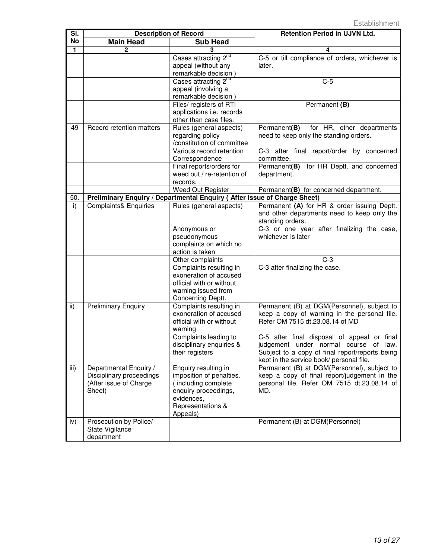| SI.       |                                  | <b>Description of Record</b>                                             | <b>Retention Period in UJVN Ltd.</b>                                            |
|-----------|----------------------------------|--------------------------------------------------------------------------|---------------------------------------------------------------------------------|
| <b>No</b> | <b>Main Head</b>                 | <b>Sub Head</b>                                                          |                                                                                 |
| 1         | $\mathbf{2}$                     |                                                                          | 4                                                                               |
|           |                                  | Cases attracting 2 <sup>nd</sup>                                         | C-5 or till compliance of orders, whichever is                                  |
|           |                                  | appeal (without any                                                      | later.                                                                          |
|           |                                  | remarkable decision)                                                     |                                                                                 |
|           |                                  | Cases attracting 2 <sup>nd</sup>                                         | $C-5$                                                                           |
|           |                                  | appeal (involving a                                                      |                                                                                 |
|           |                                  | remarkable decision)                                                     |                                                                                 |
|           |                                  | Files/ registers of RTI                                                  | Permanent (B)                                                                   |
|           |                                  | applications i.e. records                                                |                                                                                 |
|           |                                  | other than case files.                                                   |                                                                                 |
| 49        | Record retention matters         | Rules (general aspects)                                                  | for HR, other departments<br>Permanent(B)                                       |
|           |                                  | regarding policy<br>/constitution of committee                           | need to keep only the standing orders.                                          |
|           |                                  | Various record retention                                                 | C-3 after final report/order by concerned                                       |
|           |                                  | Correspondence                                                           | committee.                                                                      |
|           |                                  | Final reports/orders for                                                 | for HR Deptt. and concerned<br>Permanent(B)                                     |
|           |                                  | weed out / re-retention of                                               | department.                                                                     |
|           |                                  | records.                                                                 |                                                                                 |
|           |                                  | Weed Out Register                                                        | Permanent(B) for concerned department.                                          |
| 50.       |                                  | Preliminary Enquiry / Departmental Enquiry (After issue of Charge Sheet) |                                                                                 |
| i)        | <b>Complaints&amp; Enquiries</b> | Rules (general aspects)                                                  | Permanent (A) for HR & order issuing Deptt.                                     |
|           |                                  |                                                                          | and other departments need to keep only the                                     |
|           |                                  |                                                                          | standing orders.                                                                |
|           |                                  | Anonymous or                                                             | C-3 or one year after finalizing the case,                                      |
|           |                                  | pseudonymous                                                             | whichever is later                                                              |
|           |                                  | complaints on which no                                                   |                                                                                 |
|           |                                  | action is taken                                                          |                                                                                 |
|           |                                  | Other complaints                                                         | $C-3$                                                                           |
|           |                                  | Complaints resulting in                                                  | C-3 after finalizing the case.                                                  |
|           |                                  | exoneration of accused                                                   |                                                                                 |
|           |                                  | official with or without                                                 |                                                                                 |
|           |                                  | warning issued from                                                      |                                                                                 |
|           |                                  | Concerning Deptt.                                                        |                                                                                 |
| ii)       | <b>Preliminary Enquiry</b>       | Complaints resulting in<br>exoneration of accused                        | Permanent (B) at DGM(Personnel), subject to                                     |
|           |                                  | official with or without                                                 | keep a copy of warning in the personal file.<br>Refer OM 7515 dt.23.08.14 of MD |
|           |                                  | warning                                                                  |                                                                                 |
|           |                                  | Complaints leading to                                                    | C-5 after final disposal of appeal or final                                     |
|           |                                  | disciplinary enquiries &                                                 | judgement under normal course of law.                                           |
|           |                                  | their registers                                                          | Subject to a copy of final report/reports being                                 |
|           |                                  |                                                                          | kept in the service book/ personal file.                                        |
| iii)      | Departmental Enquiry /           | Enquiry resulting in                                                     | Permanent (B) at DGM(Personnel), subject to                                     |
|           | Disciplinary proceedings         | imposition of penalties.                                                 | keep a copy of final report/judgement in the                                    |
|           | (After issue of Charge           | (including complete                                                      | personal file. Refer OM 7515 dt.23.08.14 of                                     |
|           | Sheet)                           | enquiry proceedings,                                                     | MD.                                                                             |
|           |                                  | evidences,                                                               |                                                                                 |
|           |                                  | Representations &                                                        |                                                                                 |
|           |                                  | Appeals)                                                                 |                                                                                 |
| iv)       | Prosecution by Police/           |                                                                          | Permanent (B) at DGM(Personnel)                                                 |
|           | State Vigilance                  |                                                                          |                                                                                 |
|           | department                       |                                                                          |                                                                                 |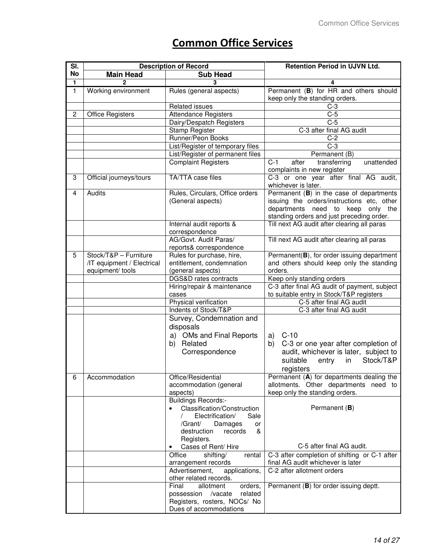## **Common Office Services**

| SI.                     |                                                | <b>Description of Record</b>                                                                                                                                                | <b>Retention Period in UJVN Ltd.</b>                                                                                                                                     |
|-------------------------|------------------------------------------------|-----------------------------------------------------------------------------------------------------------------------------------------------------------------------------|--------------------------------------------------------------------------------------------------------------------------------------------------------------------------|
| <b>No</b>               | <b>Main Head</b>                               | <b>Sub Head</b>                                                                                                                                                             |                                                                                                                                                                          |
| 1                       | $\overline{2}$                                 | 3                                                                                                                                                                           | 4                                                                                                                                                                        |
| $\mathbf{1}$            | Working environment                            | Rules (general aspects)                                                                                                                                                     | Permanent (B) for HR and others should<br>keep only the standing orders.                                                                                                 |
|                         |                                                | Related issues                                                                                                                                                              | $C-3$                                                                                                                                                                    |
| $\overline{c}$          | <b>Office Registers</b>                        | <b>Attendance Registers</b>                                                                                                                                                 | $C-5$                                                                                                                                                                    |
|                         |                                                | Dairy/Despatch Registers                                                                                                                                                    | $C-5$                                                                                                                                                                    |
|                         |                                                | <b>Stamp Register</b>                                                                                                                                                       | C-3 after final AG audit                                                                                                                                                 |
|                         |                                                | Runner/Peon Books                                                                                                                                                           | $C-2$                                                                                                                                                                    |
|                         |                                                | List/Register of temporary files                                                                                                                                            | $C-3$                                                                                                                                                                    |
|                         |                                                | List/Register of permanent files                                                                                                                                            | Permanent (B)                                                                                                                                                            |
|                         |                                                | <b>Complaint Registers</b>                                                                                                                                                  | transferring<br>$C-1$<br>after<br>unattended<br>complaints in new register                                                                                               |
| 3                       | Official journeys/tours                        | <b>TA/TTA</b> case files                                                                                                                                                    | C-3 or one year after final AG audit,<br>whichever is later.                                                                                                             |
| $\overline{\mathbf{4}}$ | Audits                                         | Rules, Circulars, Office orders<br>(General aspects)                                                                                                                        | Permanent (B) in the case of departments<br>issuing the orders/instructions etc, other<br>departments need to keep only the<br>standing orders and just preceding order. |
|                         |                                                | Internal audit reports &<br>correspondence                                                                                                                                  | Till next AG audit after clearing all paras                                                                                                                              |
|                         |                                                | AG/Govt. Audit Paras/                                                                                                                                                       | Till next AG audit after clearing all paras                                                                                                                              |
|                         |                                                | reports& correspondence                                                                                                                                                     |                                                                                                                                                                          |
| 5                       | Stock/T&P - Furniture                          | Rules for purchase, hire,                                                                                                                                                   | Permanent(B), for order issuing department                                                                                                                               |
|                         | /IT equipment / Electrical<br>equipment/ tools | entitlement, condemnation<br>(general aspects)                                                                                                                              | and others should keep only the standing<br>orders.                                                                                                                      |
|                         |                                                | DGS&D rates contracts                                                                                                                                                       | Keep only standing orders                                                                                                                                                |
|                         |                                                | Hiring/repair & maintenance                                                                                                                                                 | C-3 after final AG audit of payment, subject                                                                                                                             |
|                         |                                                | cases                                                                                                                                                                       | to suitable entry in Stock/T&P registers                                                                                                                                 |
|                         |                                                | Physical verification                                                                                                                                                       | C-5 after final AG audit                                                                                                                                                 |
|                         |                                                | Indents of Stock/T&P                                                                                                                                                        | C-3 after final AG audit                                                                                                                                                 |
|                         |                                                | Survey, Condemnation and<br>disposals<br>a) OMs and Final Reports<br>b) Related<br>Correspondence                                                                           | $C-10$<br>a)<br>C-3 or one year after completion of<br>b)<br>audit, whichever is later, subject to<br>Stock/T&P<br>suitable<br>entry<br>in<br>registers                  |
| 6                       | Accommodation                                  | Office/Residential<br>accommodation (general<br>aspects)                                                                                                                    | Permanent (A) for departments dealing the<br>allotments. Other departments need to<br>keep only the standing orders.                                                     |
|                         |                                                | <b>Buildings Records:-</b><br>Classification/Construction<br>$\bullet$<br>Electrification/<br>Sale<br>/Grant/<br>Damages<br>or<br>destruction<br>records<br>&<br>Registers. | Permanent (B)                                                                                                                                                            |
|                         |                                                | Cases of Rent/ Hire<br>$\bullet$                                                                                                                                            | C-5 after final AG audit.                                                                                                                                                |
|                         |                                                | shifting/<br>Office<br>rental                                                                                                                                               | C-3 after completion of shifting or C-1 after                                                                                                                            |
|                         |                                                | arrangement records<br>Advertisement,<br>applications,                                                                                                                      | final AG audit whichever is later<br>C-2 after allotment orders                                                                                                          |
|                         |                                                | other related records.                                                                                                                                                      |                                                                                                                                                                          |
|                         |                                                | Final<br>allotment<br>orders,                                                                                                                                               | Permanent (B) for order issuing deptt.                                                                                                                                   |
|                         |                                                | possession<br>/vacate<br>related                                                                                                                                            |                                                                                                                                                                          |
|                         |                                                | Registers, rosters, NOCs/ No<br>Dues of accommodations                                                                                                                      |                                                                                                                                                                          |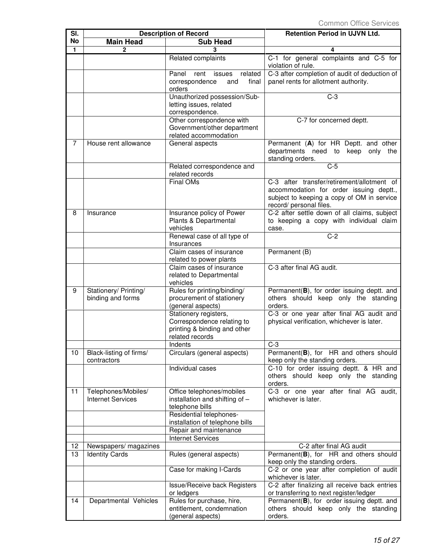| SI.            | <b>Description of Record</b>                    |                                                                                                        | <b>Retention Period in UJVN Ltd.</b>                                                                                                                           |
|----------------|-------------------------------------------------|--------------------------------------------------------------------------------------------------------|----------------------------------------------------------------------------------------------------------------------------------------------------------------|
| <b>No</b>      | <b>Main Head</b>                                | <b>Sub Head</b>                                                                                        |                                                                                                                                                                |
| $\mathbf{1}$   | 2                                               | 3                                                                                                      | 4                                                                                                                                                              |
|                |                                                 | Related complaints                                                                                     | C-1 for general complaints and C-5 for<br>violation of rule.                                                                                                   |
|                |                                                 | related<br>Panel<br>rent<br>issues<br>correspondence<br>final<br>and<br>orders                         | C-3 after completion of audit of deduction of<br>panel rents for allotment authority.                                                                          |
|                |                                                 | Unauthorized possession/Sub-<br>letting issues, related<br>correspondence.                             | $C-3$                                                                                                                                                          |
|                |                                                 | Other correspondence with<br>Government/other department<br>related accommodation                      | C-7 for concerned deptt.                                                                                                                                       |
| $\overline{7}$ | House rent allowance                            | General aspects                                                                                        | Permanent (A) for HR Deptt. and other<br>departments need to<br>keep only the<br>standing orders.                                                              |
|                |                                                 | Related correspondence and<br>related records                                                          | $C-5$                                                                                                                                                          |
|                |                                                 | <b>Final OMs</b>                                                                                       | C-3 after transfer/retirement/allotment of<br>accommodation for order issuing deptt.,<br>subject to keeping a copy of OM in service<br>record/ personal files. |
| 8              | Insurance                                       | Insurance policy of Power<br>Plants & Departmental<br>vehicles                                         | C-2 after settle down of all claims, subject<br>to keeping a copy with individual claim<br>case.                                                               |
|                |                                                 | Renewal case of all type of<br>Insurances                                                              | $C-2$                                                                                                                                                          |
|                |                                                 | Claim cases of insurance<br>related to power plants                                                    | Permanent (B)                                                                                                                                                  |
|                |                                                 | Claim cases of insurance<br>related to Departmental<br>vehicles                                        | C-3 after final AG audit.                                                                                                                                      |
| 9              | Stationery/ Printing/<br>binding and forms      | Rules for printing/binding/<br>procurement of stationery<br>(general aspects)                          | Permanent(B), for order issuing deptt. and<br>others should keep only the standing<br>orders.                                                                  |
|                |                                                 | Stationery registers,<br>Correspondence relating to<br>printing & binding and other<br>related records | C-3 or one year after final AG audit and<br>physical verification, whichever is later.                                                                         |
| 10             | Black-listing of firms/<br>contractors          | Indents<br>Circulars (general aspects)                                                                 | $C-3$<br>Permanent(B), for HR and others should<br>keep only the standing orders.                                                                              |
|                |                                                 | Individual cases                                                                                       | C-10 for order issuing deptt. & HR and<br>others should keep only the standing<br>orders.                                                                      |
| 11             | Telephones/Mobiles/<br><b>Internet Services</b> | Office telephones/mobiles<br>installation and shifting of -<br>telephone bills                         | C-3 or one year after final AG audit,<br>whichever is later.                                                                                                   |
|                |                                                 | Residential telephones-<br>installation of telephone bills<br>Repair and maintenance                   |                                                                                                                                                                |
|                |                                                 | <b>Internet Services</b>                                                                               |                                                                                                                                                                |
| 12             | Newspapers/ magazines                           |                                                                                                        | C-2 after final AG audit                                                                                                                                       |
| 13             | <b>Identity Cards</b>                           | Rules (general aspects)                                                                                | Permanent(B), for HR and others should<br>keep only the standing orders.                                                                                       |
|                |                                                 | Case for making I-Cards                                                                                | C-2 or one year after completion of audit<br>whichever is later.                                                                                               |
|                |                                                 | <b>Issue/Receive back Registers</b><br>or ledgers                                                      | C-2 after finalizing all receive back entries<br>or transferring to next register/ledger                                                                       |
| 14             | Departmental Vehicles                           | Rules for purchase, hire,<br>entitlement, condemnation<br>(general aspects)                            | Permanent(B), for order issuing deptt. and<br>others should keep only the standing<br>orders.                                                                  |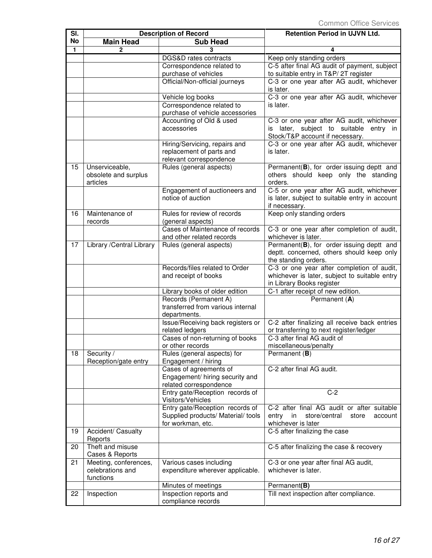| SI.       |                                                    | <b>Description of Record</b>                                                         | Retention Period in UJVN Ltd.                                                                                          |
|-----------|----------------------------------------------------|--------------------------------------------------------------------------------------|------------------------------------------------------------------------------------------------------------------------|
| <b>No</b> | <b>Main Head</b>                                   | <b>Sub Head</b>                                                                      |                                                                                                                        |
| 1.        | 2                                                  | 3                                                                                    | 4                                                                                                                      |
|           |                                                    | DGS&D rates contracts                                                                | Keep only standing orders                                                                                              |
|           |                                                    | Correspondence related to                                                            | C-5 after final AG audit of payment, subject                                                                           |
|           |                                                    | purchase of vehicles                                                                 | to suitable entry in T&P/ 2T register                                                                                  |
|           |                                                    | Official/Non-official journeys                                                       | C-3 or one year after AG audit, whichever<br>is later.                                                                 |
|           |                                                    | Vehicle log books                                                                    | C-3 or one year after AG audit, whichever                                                                              |
|           |                                                    | Correspondence related to                                                            | is later.                                                                                                              |
|           |                                                    | purchase of vehicle accessories                                                      |                                                                                                                        |
|           |                                                    | Accounting of Old & used<br>accessories                                              | C-3 or one year after AG audit, whichever<br>is later, subject to suitable entry in<br>Stock/T&P account if necessary. |
|           |                                                    | Hiring/Servicing, repairs and<br>replacement of parts and<br>relevant correspondence | C-3 or one year after AG audit, whichever<br>is later.                                                                 |
| 15        | Unserviceable,<br>obsolete and surplus<br>articles | Rules (general aspects)                                                              | Permanent(B), for order issuing deptt and<br>others should keep only the standing<br>orders.                           |
|           |                                                    | Engagement of auctioneers and<br>notice of auction                                   | C-5 or one year after AG audit, whichever<br>is later, subject to suitable entry in account<br>if necessary.           |
| 16        | Maintenance of<br>records                          | Rules for review of records<br>(general aspects)                                     | Keep only standing orders                                                                                              |
|           |                                                    | Cases of Maintenance of records                                                      | C-3 or one year after completion of audit,                                                                             |
|           |                                                    | and other related records                                                            | whichever is later.                                                                                                    |
| 17        | Library / Central Library                          | Rules (general aspects)                                                              | Permanent(B), for order issuing deptt and                                                                              |
|           |                                                    |                                                                                      | deptt. concerned, others should keep only<br>the standing orders.                                                      |
|           |                                                    | Records/files related to Order                                                       | C-3 or one year after completion of audit,                                                                             |
|           |                                                    | and receipt of books                                                                 | whichever is later, subject to suitable entry                                                                          |
|           |                                                    |                                                                                      | in Library Books register                                                                                              |
|           |                                                    | Library books of older edition                                                       | C-1 after receipt of new edition.                                                                                      |
|           |                                                    | Records (Permanent A)<br>transferred from various internal                           | Permanent (A)                                                                                                          |
|           |                                                    | departments.                                                                         |                                                                                                                        |
|           |                                                    | Issue/Receiving back registers or                                                    | C-2 after finalizing all receive back entries                                                                          |
|           |                                                    | related ledgers                                                                      | or transferring to next register/ledger                                                                                |
|           |                                                    | Cases of non-returning of books                                                      | C-3 after final AG audit of                                                                                            |
|           |                                                    | or other records                                                                     | miscellaneous/penalty                                                                                                  |
| 18        | Security /<br>Reception/gate entry                 | Rules (general aspects) for<br>Engagement / hiring                                   | Permanent (B)                                                                                                          |
|           |                                                    | Cases of agreements of                                                               | C-2 after final AG audit.                                                                                              |
|           |                                                    | Engagement/ hiring security and                                                      |                                                                                                                        |
|           |                                                    | related correspondence                                                               | $C-2$                                                                                                                  |
|           |                                                    | Entry gate/Reception records of<br>Visitors/Vehicles                                 |                                                                                                                        |
|           |                                                    | Entry gate/Reception records of                                                      | C-2 after final AG audit or after suitable                                                                             |
|           |                                                    | Supplied products/ Material/ tools<br>for workman, etc.                              | entry<br>in<br>store/central<br>store<br>account<br>whichever is later                                                 |
| 19        | Accident/ Casualty<br>Reports                      |                                                                                      | C-5 after finalizing the case                                                                                          |
| 20        | Theft and misuse<br>Cases & Reports                |                                                                                      | C-5 after finalizing the case & recovery                                                                               |
| 21        | Meeting, conferences,                              | Various cases including                                                              | C-3 or one year after final AG audit,                                                                                  |
|           | celebrations and                                   | expenditure wherever applicable.                                                     | whichever is later.                                                                                                    |
|           | functions                                          | Minutes of meetings                                                                  | Permanent(B)                                                                                                           |
| 22        | Inspection                                         | Inspection reports and                                                               | Till next inspection after compliance.                                                                                 |
|           |                                                    | compliance records                                                                   |                                                                                                                        |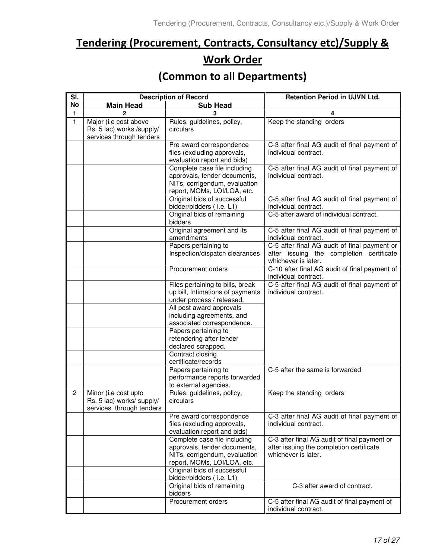# Tendering (Procurement, Contracts, Consultancy etc)/Supply & **Work Order**

## (Common to all Departments)

| SI.          | <b>Description of Record</b>                                                   |                                                                                                                              | <b>Retention Period in UJVN Ltd.</b>                                                                            |
|--------------|--------------------------------------------------------------------------------|------------------------------------------------------------------------------------------------------------------------------|-----------------------------------------------------------------------------------------------------------------|
| No           | <b>Main Head</b>                                                               | <b>Sub Head</b>                                                                                                              |                                                                                                                 |
| $\mathbf{1}$ | 2                                                                              | 3                                                                                                                            | 4                                                                                                               |
| $\mathbf{1}$ | Major (i.e cost above<br>Rs. 5 lac) works /supply/<br>services through tenders | Rules, guidelines, policy,<br>circulars                                                                                      | Keep the standing orders                                                                                        |
|              |                                                                                | Pre award correspondence<br>files (excluding approvals,<br>evaluation report and bids)                                       | C-3 after final AG audit of final payment of<br>individual contract.                                            |
|              |                                                                                | Complete case file including<br>approvals, tender documents,<br>NITs, corrigendum, evaluation<br>report, MOMs, LOI/LOA, etc. | C-5 after final AG audit of final payment of<br>individual contract.                                            |
|              |                                                                                | Original bids of successful<br>bidder/bidders (i.e. L1)                                                                      | C-5 after final AG audit of final payment of<br>individual contract.                                            |
|              |                                                                                | Original bids of remaining<br>bidders                                                                                        | C-5 after award of individual contract.                                                                         |
|              |                                                                                | Original agreement and its<br>amendments                                                                                     | C-5 after final AG audit of final payment of<br>individual contract.                                            |
|              |                                                                                | Papers pertaining to<br>Inspection/dispatch clearances                                                                       | C-5 after final AG audit of final payment or<br>after issuing the completion certificate<br>whichever is later. |
|              |                                                                                | Procurement orders                                                                                                           | C-10 after final AG audit of final payment of<br>individual contract.                                           |
|              |                                                                                | Files pertaining to bills, break<br>up bill, Intimations of payments<br>under process / released.                            | C-5 after final AG audit of final payment of<br>individual contract.                                            |
|              |                                                                                | All post award approvals<br>including agreements, and<br>associated correspondence.                                          |                                                                                                                 |
|              |                                                                                | Papers pertaining to<br>retendering after tender<br>declared scrapped.                                                       |                                                                                                                 |
|              |                                                                                | Contract closing<br>certificate/records                                                                                      |                                                                                                                 |
|              |                                                                                | Papers pertaining to<br>performance reports forwarded<br>to external agencies.                                               | C-5 after the same is forwarded                                                                                 |
| 2            | Minor (i.e cost upto<br>Rs. 5 lac) works/ supply/<br>services through tenders  | Rules, guidelines, policy,<br>circulars                                                                                      | Keep the standing orders                                                                                        |
|              |                                                                                | Pre award correspondence<br>files (excluding approvals,<br>evaluation report and bids)                                       | C-3 after final AG audit of final payment of<br>individual contract.                                            |
|              |                                                                                | Complete case file including<br>approvals, tender documents,<br>NITs, corrigendum, evaluation<br>report, MOMs, LOI/LOA, etc. | C-3 after final AG audit of final payment or<br>after issuing the completion certificate<br>whichever is later. |
|              |                                                                                | Original bids of successful<br>bidder/bidders (i.e. L1)                                                                      |                                                                                                                 |
|              |                                                                                | Original bids of remaining<br>bidders                                                                                        | C-3 after award of contract.                                                                                    |
|              |                                                                                | Procurement orders                                                                                                           | C-5 after final AG audit of final payment of<br>individual contract.                                            |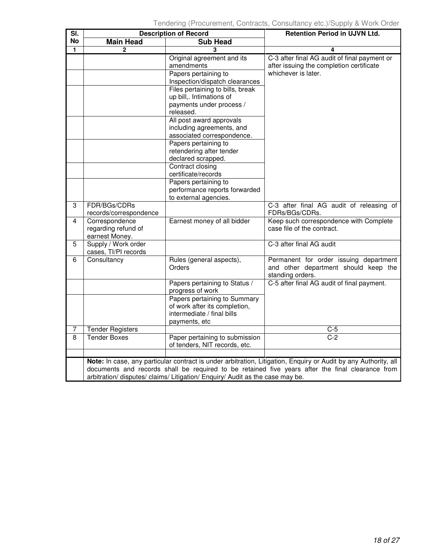| SI.            |                                                                                                                                                                                                                                                                                                      | <b>Description of Record</b>                                                                                                                                                                                                                                                                                                 | Retention Period in UJVN Ltd.                                                                                   |  |  |
|----------------|------------------------------------------------------------------------------------------------------------------------------------------------------------------------------------------------------------------------------------------------------------------------------------------------------|------------------------------------------------------------------------------------------------------------------------------------------------------------------------------------------------------------------------------------------------------------------------------------------------------------------------------|-----------------------------------------------------------------------------------------------------------------|--|--|
| No             | <b>Main Head</b>                                                                                                                                                                                                                                                                                     | <b>Sub Head</b>                                                                                                                                                                                                                                                                                                              |                                                                                                                 |  |  |
| 1              | $\mathbf{2}$                                                                                                                                                                                                                                                                                         | 3                                                                                                                                                                                                                                                                                                                            | 4                                                                                                               |  |  |
|                |                                                                                                                                                                                                                                                                                                      | Original agreement and its<br>amendments<br>Papers pertaining to                                                                                                                                                                                                                                                             | C-3 after final AG audit of final payment or<br>after issuing the completion certificate<br>whichever is later. |  |  |
|                |                                                                                                                                                                                                                                                                                                      | Inspection/dispatch clearances<br>Files pertaining to bills, break<br>up bill,. Intimations of<br>payments under process /<br>released.<br>All post award approvals<br>including agreements, and<br>associated correspondence.<br>Papers pertaining to<br>retendering after tender<br>declared scrapped.<br>Contract closing |                                                                                                                 |  |  |
|                |                                                                                                                                                                                                                                                                                                      | certificate/records<br>Papers pertaining to<br>performance reports forwarded<br>to external agencies.                                                                                                                                                                                                                        |                                                                                                                 |  |  |
| 3              | FDR/BGs/CDRs<br>records/correspondence                                                                                                                                                                                                                                                               |                                                                                                                                                                                                                                                                                                                              | C-3 after final AG audit of releasing of<br>FDRs/BGs/CDRs.                                                      |  |  |
| 4              | Correspondence<br>regarding refund of<br>earnest Money.                                                                                                                                                                                                                                              | Earnest money of all bidder                                                                                                                                                                                                                                                                                                  | Keep such correspondence with Complete<br>case file of the contract.                                            |  |  |
| 5              | Supply / Work order<br>cases, TI/PI records                                                                                                                                                                                                                                                          |                                                                                                                                                                                                                                                                                                                              | C-3 after final AG audit                                                                                        |  |  |
| 6              | Consultancy                                                                                                                                                                                                                                                                                          | Rules (general aspects),<br>Orders                                                                                                                                                                                                                                                                                           | Permanent for order issuing department<br>and other department should keep the<br>standing orders.              |  |  |
|                |                                                                                                                                                                                                                                                                                                      | Papers pertaining to Status /<br>progress of work                                                                                                                                                                                                                                                                            | C-5 after final AG audit of final payment.                                                                      |  |  |
|                |                                                                                                                                                                                                                                                                                                      | Papers pertaining to Summary<br>of work after its completion,<br>intermediate / final bills<br>payments, etc                                                                                                                                                                                                                 |                                                                                                                 |  |  |
| 7              | <b>Tender Registers</b>                                                                                                                                                                                                                                                                              |                                                                                                                                                                                                                                                                                                                              | $C-5$                                                                                                           |  |  |
| $\overline{8}$ | <b>Tender Boxes</b>                                                                                                                                                                                                                                                                                  | Paper pertaining to submission<br>of tenders, NIT records, etc.                                                                                                                                                                                                                                                              | $C-2$                                                                                                           |  |  |
|                |                                                                                                                                                                                                                                                                                                      |                                                                                                                                                                                                                                                                                                                              |                                                                                                                 |  |  |
|                | Note: In case, any particular contract is under arbitration, Litigation, Enquiry or Audit by any Authority, all<br>documents and records shall be required to be retained five years after the final clearance from<br>arbitration/ disputes/ claims/ Litigation/ Enquiry/ Audit as the case may be. |                                                                                                                                                                                                                                                                                                                              |                                                                                                                 |  |  |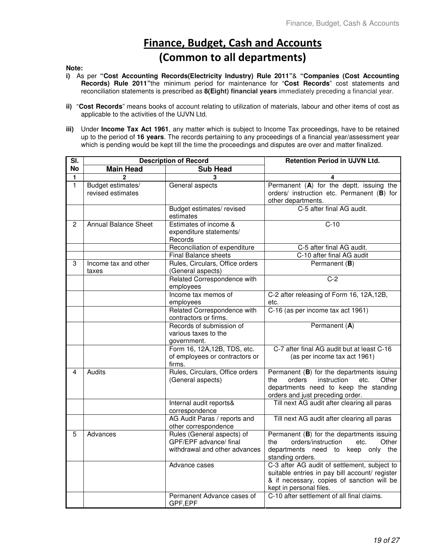# **Finance, Budget, Cash and Accounts** (Common to all departments)

#### **Note:**

- **i)** As per **"Cost Accounting Records(Electricity Industry) Rule 2011"**& **"Companies (Cost Accounting Records) Rule 2011"**the minimum period for maintenance for "**Cost Records**" cost statements and reconciliation statements is prescribed as **8(Eight) financial years** immediately preceding a financial year.
- **ii)** "**Cost Records**" means books of account relating to utilization of materials, labour and other items of cost as applicable to the activities of the UJVN Ltd.
- **iii)** Under **Income Tax Act 1961**, any matter which is subject to Income Tax proceedings, have to be retained up to the period of **16 years**. The records pertaining to any proceedings of a financial year/assessment year which is pending would be kept till the time the proceedings and disputes are over and matter finalized.

| $\overline{\mathsf{SI}}$ . |                                        | <b>Description of Record</b>                                                          | <b>Retention Period in UJVN Ltd.</b>                                                                                                                                    |
|----------------------------|----------------------------------------|---------------------------------------------------------------------------------------|-------------------------------------------------------------------------------------------------------------------------------------------------------------------------|
| <b>No</b>                  | <b>Main Head</b>                       | <b>Sub Head</b>                                                                       |                                                                                                                                                                         |
| $\mathbf{1}$               | $\mathbf{2}$                           | 3                                                                                     | 4                                                                                                                                                                       |
| $\mathbf{1}$               | Budget estimates/<br>revised estimates | General aspects                                                                       | Permanent (A) for the deptt. issuing the<br>orders/ instruction etc. Permanent (B) for<br>other departments.                                                            |
|                            |                                        | Budget estimates/revised<br>estimates                                                 | C-5 after final AG audit.                                                                                                                                               |
| 2                          | <b>Annual Balance Sheet</b>            | Estimates of income &<br>expenditure statements/<br>Records                           | $C-10$                                                                                                                                                                  |
|                            |                                        | Reconciliation of expenditure                                                         | C-5 after final AG audit.                                                                                                                                               |
|                            |                                        | <b>Final Balance sheets</b>                                                           | C-10 after final AG audit                                                                                                                                               |
| 3                          | Income tax and other<br>taxes          | Rules, Circulars, Office orders<br>(General aspects)                                  | Permanent (B)                                                                                                                                                           |
|                            |                                        | Related Correspondence with<br>employees                                              | $C-2$                                                                                                                                                                   |
|                            |                                        | Income tax memos of<br>employees                                                      | C-2 after releasing of Form 16, 12A, 12B,<br>etc.                                                                                                                       |
|                            |                                        | Related Correspondence with<br>contractors or firms.                                  | C-16 (as per income tax act 1961)                                                                                                                                       |
|                            |                                        | Records of submission of<br>various taxes to the<br>government.                       | Permanent (A)                                                                                                                                                           |
|                            |                                        | Form 16, 12A, 12B, TDS, etc.<br>of employees or contractors or<br>firms.              | C-7 after final AG audit but at least C-16<br>(as per income tax act 1961)                                                                                              |
| 4                          | Audits                                 | Rules, Circulars, Office orders<br>(General aspects)                                  | Permanent (B) for the departments issuing<br>orders<br>instruction<br>Other<br>the<br>etc.<br>departments need to keep the standing<br>orders and just preceding order. |
|                            |                                        | Internal audit reports&<br>correspondence                                             | Till next AG audit after clearing all paras                                                                                                                             |
|                            |                                        | AG Audit Paras / reports and<br>other correspondence                                  | Till next AG audit after clearing all paras                                                                                                                             |
| 5                          | Advances                               | Rules (General aspects) of<br>GPF/EPF advance/ final<br>withdrawal and other advances | Permanent (B) for the departments issuing<br>orders/instruction<br>the<br>Other<br>etc.<br>departments need to<br>keep only the<br>standing orders.                     |
|                            |                                        | Advance cases                                                                         | C-3 after AG audit of settlement, subject to<br>suitable entries in pay bill account/ register<br>& if necessary, copies of sanction will be<br>kept in personal files. |
|                            |                                        | Permanent Advance cases of<br>GPF,EPF                                                 | C-10 after settlement of all final claims.                                                                                                                              |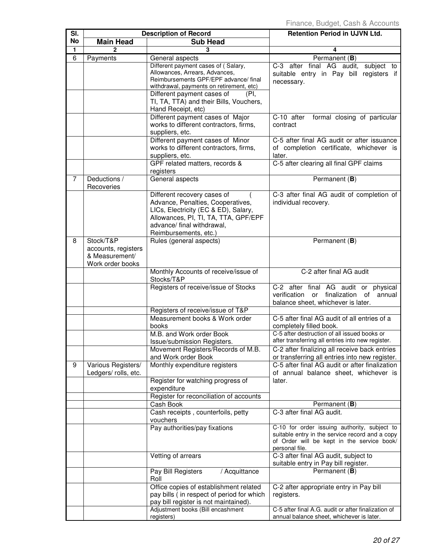| SI.            | <b>Description of Record</b>                                           |                                                                                                                                                                                                         | <b>Retention Period in UJVN Ltd.</b>                                                                                                                            |
|----------------|------------------------------------------------------------------------|---------------------------------------------------------------------------------------------------------------------------------------------------------------------------------------------------------|-----------------------------------------------------------------------------------------------------------------------------------------------------------------|
| No             | <b>Main Head</b>                                                       | <b>Sub Head</b>                                                                                                                                                                                         |                                                                                                                                                                 |
| $\mathbf{1}$   | 2                                                                      |                                                                                                                                                                                                         | 4                                                                                                                                                               |
| 6              | Payments                                                               | General aspects                                                                                                                                                                                         | Permanent (B)                                                                                                                                                   |
|                |                                                                        | Different payment cases of (Salary,<br>Allowances, Arrears, Advances,<br>Reimbursements GPF/EPF advance/ final<br>withdrawal, payments on retirement, etc)                                              | C-3 after final AG audit,<br>subject to<br>suitable entry in Pay bill registers if<br>necessary.                                                                |
|                |                                                                        | Different payment cases of<br>(PI.<br>TI, TA, TTA) and their Bills, Vouchers,<br>Hand Receipt, etc)                                                                                                     |                                                                                                                                                                 |
|                |                                                                        | Different payment cases of Major<br>works to different contractors, firms,<br>suppliers, etc.                                                                                                           | C-10 after<br>formal closing of particular<br>contract                                                                                                          |
|                |                                                                        | Different payment cases of Minor<br>works to different contractors, firms,<br>suppliers, etc.                                                                                                           | C-5 after final AG audit or after issuance<br>of completion certificate, whichever is<br>later.                                                                 |
|                |                                                                        | GPF related matters, records &<br>registers                                                                                                                                                             | C-5 after clearing all final GPF claims                                                                                                                         |
| $\overline{7}$ | Deductions /<br>Recoveries                                             | General aspects                                                                                                                                                                                         | Permanent (B)                                                                                                                                                   |
|                |                                                                        | Different recovery cases of<br>Advance, Penalties, Cooperatives,<br>LICs, Electricity (EC & ED), Salary,<br>Allowances, PI, TI, TA, TTA, GPF/EPF<br>advance/ final withdrawal,<br>Reimbursements, etc.) | C-3 after final AG audit of completion of<br>individual recovery.                                                                                               |
| 8              | Stock/T&P<br>accounts, registers<br>& Measurement/<br>Work order books | Rules (general aspects)                                                                                                                                                                                 | Permanent (B)                                                                                                                                                   |
|                |                                                                        | Monthly Accounts of receive/issue of<br>Stocks/T&P                                                                                                                                                      | C-2 after final AG audit                                                                                                                                        |
|                |                                                                        | Registers of receive/issue of Stocks                                                                                                                                                                    | C-2 after final AG audit or physical<br>verification or finalization of<br>annual<br>balance sheet, whichever is later.                                         |
|                |                                                                        | Registers of receive/issue of T&P                                                                                                                                                                       |                                                                                                                                                                 |
|                |                                                                        | Measurement books & Work order<br>books                                                                                                                                                                 | C-5 after final AG audit of all entries of a<br>completely filled book.                                                                                         |
|                |                                                                        | M.B. and Work order Book<br>Issue/submission Registers.                                                                                                                                                 | C-5 after destruction of all issued books or<br>after transferring all entries into new register.                                                               |
|                |                                                                        | Movement Registers/Records of M.B.<br>and Work order Book                                                                                                                                               | C-2 after finalizing all receive back entries<br>or transferring all entries into new register.                                                                 |
| 9              | Various Registers/<br>Ledgers/ rolls, etc.                             | Monthly expenditure registers                                                                                                                                                                           | C-5 after final AG audit or after finalization<br>of annual balance sheet, whichever is                                                                         |
|                |                                                                        | Register for watching progress of<br>expenditure<br>Register for reconciliation of accounts                                                                                                             | later.                                                                                                                                                          |
|                |                                                                        | Cash Book                                                                                                                                                                                               | Permanent (B)                                                                                                                                                   |
|                |                                                                        | Cash receipts, counterfoils, petty<br>vouchers                                                                                                                                                          | C-3 after final AG audit.                                                                                                                                       |
|                |                                                                        | Pay authorities/pay fixations                                                                                                                                                                           | C-10 for order issuing authority, subject to<br>suitable entry in the service record and a copy<br>of Order will be kept in the service book/<br>personal file. |
|                |                                                                        | Vetting of arrears                                                                                                                                                                                      | C-3 after final AG audit, subject to<br>suitable entry in Pay bill register.                                                                                    |
|                |                                                                        | / Acquittance<br>Pay Bill Registers<br>Roll                                                                                                                                                             | Permanent (B)                                                                                                                                                   |
|                |                                                                        | Office copies of establishment related<br>pay bills (in respect of period for which<br>pay bill register is not maintained).                                                                            | C-2 after appropriate entry in Pay bill<br>registers.                                                                                                           |
|                |                                                                        | Adjustment books (Bill encashment<br>registers)                                                                                                                                                         | C-5 after final A.G. audit or after finalization of<br>annual balance sheet, whichever is later.                                                                |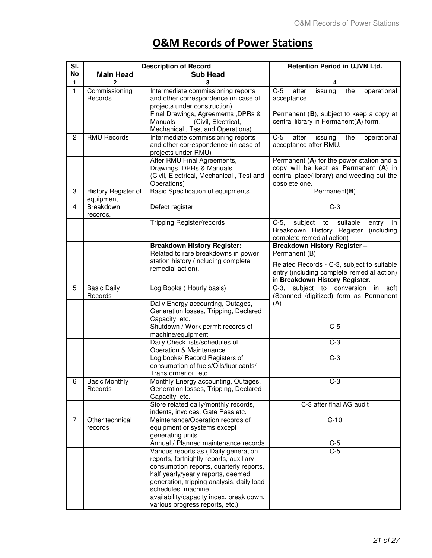## **O&M Records of Power Stations**

| SI.            | <b>Description of Record</b>     |                                                                                                                                                                                                                                                                                                                    | Retention Period in UJVN Ltd.                                                                                                                                                     |
|----------------|----------------------------------|--------------------------------------------------------------------------------------------------------------------------------------------------------------------------------------------------------------------------------------------------------------------------------------------------------------------|-----------------------------------------------------------------------------------------------------------------------------------------------------------------------------------|
| No             | <b>Main Head</b>                 | <b>Sub Head</b>                                                                                                                                                                                                                                                                                                    |                                                                                                                                                                                   |
| 1              |                                  |                                                                                                                                                                                                                                                                                                                    |                                                                                                                                                                                   |
| $\mathbf{1}$   | Commissioning<br>Records         | Intermediate commissioning reports<br>and other correspondence (in case of<br>projects under construction)                                                                                                                                                                                                         | $C-5$<br>after<br>issuing<br>the<br>operational<br>acceptance                                                                                                                     |
|                |                                  | Final Drawings, Agreements, DPRs &<br>(Civil, Electrical,<br>Manuals<br>Mechanical, Test and Operations)                                                                                                                                                                                                           | Permanent (B), subject to keep a copy at<br>central library in Permanent(A) form.                                                                                                 |
| $\overline{c}$ | <b>RMU Records</b>               | Intermediate commissioning reports<br>and other correspondence (in case of<br>projects under RMU)                                                                                                                                                                                                                  | $C-5$<br>after<br>issuing<br>the<br>operational<br>acceptance after RMU.                                                                                                          |
|                |                                  | After RMU Final Agreements,<br>Drawings, DPRs & Manuals<br>(Civil, Electrical, Mechanical, Test and<br>Operations)                                                                                                                                                                                                 | Permanent $(A)$ for the power station and a<br>copy will be kept as Permanent (A) in<br>central place(library) and weeding out the<br>obsolete one.                               |
| 3              | History Register of<br>equipment | <b>Basic Specification of equipments</b>                                                                                                                                                                                                                                                                           | Permanent(B)                                                                                                                                                                      |
| 4              | Breakdown<br>records.            | Defect register                                                                                                                                                                                                                                                                                                    | $C-3$                                                                                                                                                                             |
|                |                                  | <b>Tripping Register/records</b>                                                                                                                                                                                                                                                                                   | subject to suitable<br>$C-5$ ,<br>entry<br>in<br>Breakdown History Register<br>(including<br>complete remedial action)                                                            |
|                |                                  | <b>Breakdown History Register:</b><br>Related to rare breakdowns in power<br>station history (including complete<br>remedial action).                                                                                                                                                                              | <b>Breakdown History Register-</b><br>Permanent (B)<br>Related Records - C-3, subject to suitable<br>entry (including complete remedial action)<br>in Breakdown History Register. |
| 5              | <b>Basic Daily</b><br>Records    | Log Books (Hourly basis)                                                                                                                                                                                                                                                                                           | C-3, subject to conversion in<br>soft<br>(Scanned /digitized) form as Permanent                                                                                                   |
|                |                                  | Daily Energy accounting, Outages,<br>Generation losses, Tripping, Declared<br>Capacity, etc.                                                                                                                                                                                                                       | (A).                                                                                                                                                                              |
|                |                                  | Shutdown / Work permit records of<br>machine/equipment                                                                                                                                                                                                                                                             | $C-5$                                                                                                                                                                             |
|                |                                  | Daily Check lists/schedules of<br>Operation & Maintenance                                                                                                                                                                                                                                                          | $C-3$                                                                                                                                                                             |
|                |                                  | Log books/ Record Registers of<br>consumption of fuels/Oils/lubricants/<br>Transformer oil, etc.                                                                                                                                                                                                                   | $C-3$                                                                                                                                                                             |
| 6              | <b>Basic Monthly</b><br>Records  | Monthly Energy accounting, Outages,<br>Generation losses, Tripping, Declared<br>Capacity, etc.                                                                                                                                                                                                                     | $C-3$                                                                                                                                                                             |
|                |                                  | Store related daily/monthly records,<br>indents, invoices, Gate Pass etc.                                                                                                                                                                                                                                          | C-3 after final AG audit                                                                                                                                                          |
| 7              | Other technical<br>records       | Maintenance/Operation records of<br>equipment or systems except<br>generating units.                                                                                                                                                                                                                               | $C-10$                                                                                                                                                                            |
|                |                                  | Annual / Planned maintenance records                                                                                                                                                                                                                                                                               | $C-5$                                                                                                                                                                             |
|                |                                  | Various reports as (Daily generation<br>reports, fortnightly reports, auxiliary<br>consumption reports, quarterly reports,<br>half yearly/yearly reports, deemed<br>generation, tripping analysis, daily load<br>schedules, machine<br>availability/capacity index, break down,<br>various progress reports, etc.) | $C-5$                                                                                                                                                                             |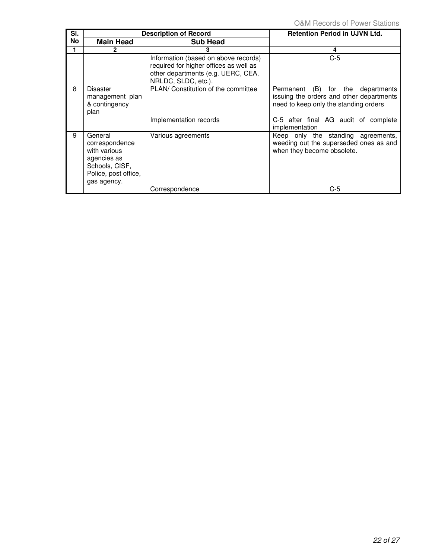| SI.       |                                                                                                                   | <b>Description of Record</b>                                                                                                                | <b>Retention Period in UJVN Ltd.</b>                                                                                      |
|-----------|-------------------------------------------------------------------------------------------------------------------|---------------------------------------------------------------------------------------------------------------------------------------------|---------------------------------------------------------------------------------------------------------------------------|
| <b>No</b> | <b>Main Head</b>                                                                                                  | <b>Sub Head</b>                                                                                                                             |                                                                                                                           |
|           | 2                                                                                                                 | 3                                                                                                                                           | 4                                                                                                                         |
|           |                                                                                                                   | Information (based on above records)<br>required for higher offices as well as<br>other departments (e.g. UERC, CEA,<br>NRLDC, SLDC, etc.). | $C-5$                                                                                                                     |
| 8         | <b>Disaster</b><br>management plan<br>& contingency<br>plan                                                       | PLAN/ Constitution of the committee                                                                                                         | Permanent (B) for the<br>departments<br>issuing the orders and other departments<br>need to keep only the standing orders |
|           |                                                                                                                   | Implementation records                                                                                                                      | C-5 after final AG audit of complete<br>implementation                                                                    |
| 9         | General<br>correspondence<br>with various<br>agencies as<br>Schools, CISF,<br>Police, post office,<br>gas agency. | Various agreements                                                                                                                          | Keep only the standing agreements,<br>weeding out the superseded ones as and<br>when they become obsolete.                |
|           |                                                                                                                   | Correspondence                                                                                                                              | $C-5$                                                                                                                     |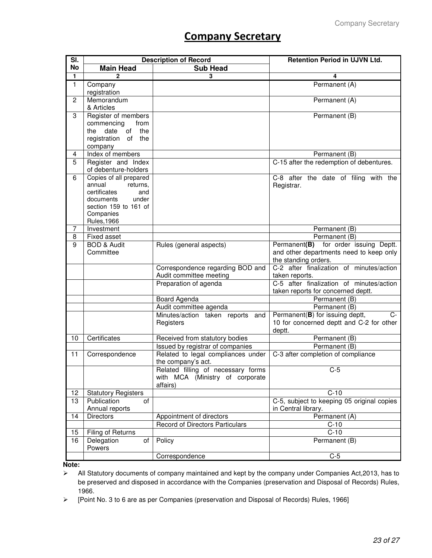## **Company Secretary**

| SI.                     | <b>Description of Record</b>                |                                                          | <b>Retention Period in UJVN Ltd.</b>                              |
|-------------------------|---------------------------------------------|----------------------------------------------------------|-------------------------------------------------------------------|
| No                      | <b>Main Head</b>                            | <b>Sub Head</b>                                          |                                                                   |
| $\mathbf{1}$            | $\mathbf 2$                                 | 3                                                        | 4                                                                 |
| 1                       | Company                                     |                                                          | Permanent (A)                                                     |
|                         | registration                                |                                                          |                                                                   |
| $\overline{c}$          | Memorandum                                  |                                                          | Permanent (A)                                                     |
|                         | & Articles                                  |                                                          |                                                                   |
| 3                       | Register of members<br>from                 |                                                          | Permanent (B)                                                     |
|                         | commencing<br>date<br>the<br>the<br>of      |                                                          |                                                                   |
|                         | registration of the                         |                                                          |                                                                   |
|                         | company                                     |                                                          |                                                                   |
| $\overline{\mathbf{4}}$ | Index of members                            |                                                          | Permanent (B)                                                     |
| 5                       | Register and Index                          |                                                          | C-15 after the redemption of debentures.                          |
|                         | of debenture-holders                        |                                                          |                                                                   |
| 6                       | Copies of all prepared                      |                                                          | C-8 after the date of filing with the                             |
|                         | annual<br>returns,                          |                                                          | Registrar.                                                        |
|                         | certificates<br>and                         |                                                          |                                                                   |
|                         | under<br>documents<br>section 159 to 161 of |                                                          |                                                                   |
|                         | Companies                                   |                                                          |                                                                   |
|                         | <b>Rules, 1966</b>                          |                                                          |                                                                   |
| 7                       | Investment                                  |                                                          | Permanent (B)                                                     |
| 8                       | <b>Fixed asset</b>                          |                                                          | Permanent (B)                                                     |
| 9                       | <b>BOD &amp; Audit</b>                      | Rules (general aspects)                                  | for order issuing Deptt.<br>Permanent(B)                          |
|                         | Committee                                   |                                                          | and other departments need to keep only                           |
|                         |                                             |                                                          | the standing orders.                                              |
|                         |                                             | Correspondence regarding BOD and                         | C-2 after finalization of minutes/action                          |
|                         |                                             | Audit committee meeting<br>Preparation of agenda         | taken reports.<br>C-5 after finalization of minutes/action        |
|                         |                                             |                                                          | taken reports for concerned deptt.                                |
|                         |                                             | Board Agenda                                             | Permanent (B)                                                     |
|                         |                                             | Audit committee agenda                                   | Permanent (B)                                                     |
|                         |                                             | Minutes/action taken reports<br>and                      | Permanent(B) for issuing deptt,<br>$C-$                           |
|                         |                                             | Registers                                                | 10 for concerned deptt and C-2 for other                          |
|                         |                                             |                                                          | deptt.                                                            |
| 10                      | Certificates                                | Received from statutory bodies                           | Permanent (B)                                                     |
|                         |                                             | Issued by registrar of companies                         | Permanent (B)                                                     |
| 11                      | Correspondence                              | Related to legal compliances under<br>the company's act. | C-3 after completion of compliance                                |
|                         |                                             | Related filling of necessary forms                       | C-5                                                               |
|                         |                                             | with MCA (Ministry of corporate                          |                                                                   |
|                         |                                             | affairs)                                                 |                                                                   |
| 12                      | <b>Statutory Registers</b>                  |                                                          | $C-10$                                                            |
| 13                      | Publication<br>of<br>Annual reports         |                                                          | C-5, subject to keeping 05 original copies<br>in Central library. |
| 14                      | <b>Directors</b>                            | Appointment of directors                                 | Permanent (A)                                                     |
|                         |                                             | Record of Directors Particulars                          | $C-10$                                                            |
| 15                      | Filing of Returns                           |                                                          | $C-10$                                                            |
| 16                      | Delegation<br>of<br>Powers                  | Policy                                                   | Permanent (B)                                                     |
|                         |                                             | Correspondence                                           | $C-5$                                                             |

**Note:**

 All Statutory documents of company maintained and kept by the company under Companies Act,2013, has to be preserved and disposed in accordance with the Companies (preservation and Disposal of Records) Rules, 1966.

[Point No. 3 to 6 are as per Companies (preservation and Disposal of Records) Rules, 1966]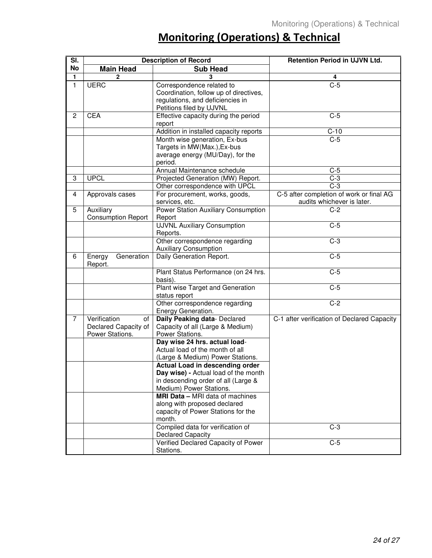# **Monitoring (Operations) & Technical**

| $\overline{\mathsf{SI}}$ . | <b>Description of Record</b> |                                        | Retention Period in UJVN Ltd.               |
|----------------------------|------------------------------|----------------------------------------|---------------------------------------------|
| <b>No</b>                  | <b>Main Head</b>             | <b>Sub Head</b>                        |                                             |
| 1                          | 2                            |                                        | 4                                           |
| $\mathbf{1}$               | <b>UERC</b>                  | Correspondence related to              | $C-5$                                       |
|                            |                              | Coordination, follow up of directives, |                                             |
|                            |                              | regulations, and deficiencies in       |                                             |
|                            |                              | Petitions filed by UJVNL               |                                             |
| $\overline{c}$             | <b>CEA</b>                   | Effective capacity during the period   | $C-5$                                       |
|                            |                              | report                                 |                                             |
|                            |                              | Addition in installed capacity reports | $C-10$                                      |
|                            |                              | Month wise generation, Ex-bus          | $C-5$                                       |
|                            |                              | Targets in MW(Max.), Ex-bus            |                                             |
|                            |                              | average energy (MU/Day), for the       |                                             |
|                            |                              | period.                                |                                             |
|                            |                              | Annual Maintenance schedule            | $C-5$                                       |
| 3                          | <b>UPCL</b>                  | Projected Generation (MW) Report.      | $C-3$                                       |
|                            |                              | Other correspondence with UPCL         | $C-3$                                       |
| 4                          | Approvals cases              | For procurement, works, goods,         | C-5 after completion of work or final AG    |
|                            |                              | services, etc.                         | audits whichever is later.                  |
| 5                          | Auxiliary                    | Power Station Auxiliary Consumption    | $\overline{C-2}$                            |
|                            | <b>Consumption Report</b>    | Report                                 |                                             |
|                            |                              | <b>UJVNL Auxiliary Consumption</b>     | $C-5$                                       |
|                            |                              | Reports.                               |                                             |
|                            |                              | Other correspondence regarding         | $C-3$                                       |
|                            | Generation                   | <b>Auxiliary Consumption</b>           | $C-5$                                       |
| 6                          | Energy<br>Report.            | Daily Generation Report.               |                                             |
|                            |                              | Plant Status Performance (on 24 hrs.   | $C-5$                                       |
|                            |                              | basis).                                |                                             |
|                            |                              | Plant wise Target and Generation       | $C-5$                                       |
|                            |                              | status report                          |                                             |
|                            |                              | Other correspondence regarding         | $C-2$                                       |
|                            |                              | Energy Generation.                     |                                             |
| $\overline{7}$             | Verification<br>of           | Daily Peaking data- Declared           | C-1 after verification of Declared Capacity |
|                            | Declared Capacity of         | Capacity of all (Large & Medium)       |                                             |
|                            | Power Stations.              | Power Stations.                        |                                             |
|                            |                              | Day wise 24 hrs. actual load-          |                                             |
|                            |                              | Actual load of the month of all        |                                             |
|                            |                              | (Large & Medium) Power Stations.       |                                             |
|                            |                              | Actual Load in descending order        |                                             |
|                            |                              | Day wise) - Actual load of the month   |                                             |
|                            |                              | in descending order of all (Large &    |                                             |
|                            |                              | Medium) Power Stations.                |                                             |
|                            |                              | MRI Data - MRI data of machines        |                                             |
|                            |                              | along with proposed declared           |                                             |
|                            |                              | capacity of Power Stations for the     |                                             |
|                            |                              | month.                                 |                                             |
|                            |                              | Compiled data for verification of      | $C-3$                                       |
|                            |                              | <b>Declared Capacity</b>               |                                             |
|                            |                              | Verified Declared Capacity of Power    | $C-5$                                       |
|                            |                              | Stations.                              |                                             |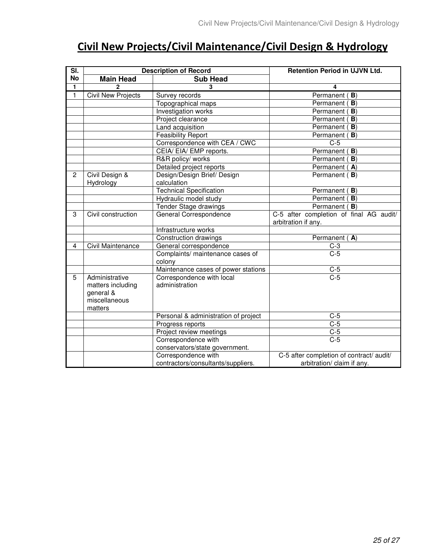## Civil New Projects/Civil Maintenance/Civil Design & Hydrology

| $\overline{\mathsf{SI}}$ . |                           | <b>Description of Record</b>         | Retention Period in UJVN Ltd.            |
|----------------------------|---------------------------|--------------------------------------|------------------------------------------|
| No                         | <b>Main Head</b>          | <b>Sub Head</b>                      |                                          |
| 1                          | $\overline{2}$            | 3                                    | 4                                        |
| $\mathbf{1}$               | <b>Civil New Projects</b> | Survey records                       | Permanent (B)                            |
|                            |                           | Topographical maps                   | Permanent (<br>B)                        |
|                            |                           | Investigation works                  | Permanent (<br>B)                        |
|                            |                           | Project clearance                    | Permanent (<br>$\mathbf{B}$              |
|                            |                           | Land acquisition                     | Permanent (<br>B)                        |
|                            |                           | <b>Feasibility Report</b>            | Permanent (B)                            |
|                            |                           | Correspondence with CEA / CWC        | $C-5$                                    |
|                            |                           | CEIA/ EIA/ EMP reports.              | Permanent (B)                            |
|                            |                           | R&R policy/ works                    | Permanent (B)                            |
|                            |                           | Detailed project reports             | Permanent (A)                            |
| $\overline{c}$             | Civil Design &            | Design/Design Brief/ Design          | Permanent (B)                            |
|                            | Hydrology                 | calculation                          |                                          |
|                            |                           | <b>Technical Specification</b>       | Permanent (B)                            |
|                            |                           | Hydraulic model study                | Permanent (B)                            |
|                            |                           | Tender Stage drawings                | Permanent (B)                            |
| 3                          | Civil construction        | General Correspondence               | C-5 after completion of final AG audit/  |
|                            |                           |                                      | arbitration if any.                      |
|                            |                           | Infrastructure works                 |                                          |
|                            |                           | Construction drawings                | Permanent (A)                            |
| 4                          | Civil Maintenance         | General correspondence               | $C-3$                                    |
|                            |                           | Complaints/ maintenance cases of     | $C-5$                                    |
|                            |                           | colony                               |                                          |
|                            |                           | Maintenance cases of power stations  | $rac{C-5}{C-5}$                          |
| 5                          | Administrative            | Correspondence with local            |                                          |
|                            | matters including         | administration                       |                                          |
|                            | general &                 |                                      |                                          |
|                            | miscellaneous             |                                      |                                          |
|                            | matters                   |                                      |                                          |
|                            |                           | Personal & administration of project | $C-5$                                    |
|                            |                           | Progress reports                     | $C-5$                                    |
|                            |                           | Project review meetings              | $C-5$<br>$C-5$                           |
|                            |                           | Correspondence with                  |                                          |
|                            |                           | conservators/state government.       |                                          |
|                            |                           | Correspondence with                  | C-5 after completion of contract/ audit/ |
|                            |                           | contractors/consultants/suppliers.   | arbitration/ claim if any.               |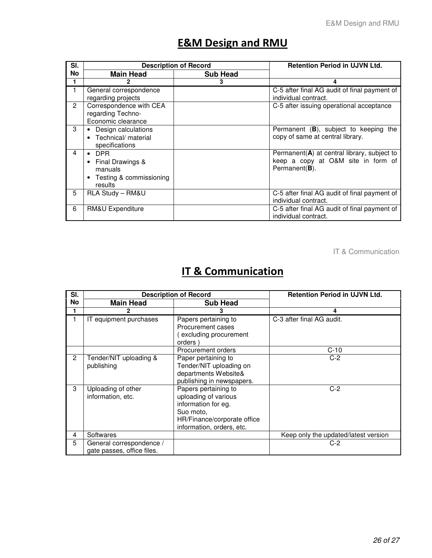## **E&M Design and RMU**

| SI. |                                                                                                 | <b>Description of Record</b> | <b>Retention Period in UJVN Ltd.</b>                                                                       |
|-----|-------------------------------------------------------------------------------------------------|------------------------------|------------------------------------------------------------------------------------------------------------|
| No  | <b>Main Head</b>                                                                                | <b>Sub Head</b>              |                                                                                                            |
| 1   |                                                                                                 | 3                            | 4                                                                                                          |
| 1   | General correspondence<br>regarding projects                                                    |                              | C-5 after final AG audit of final payment of<br>individual contract.                                       |
| 2   | Correspondence with CEA<br>regarding Techno-<br>Economic clearance                              |                              | C-5 after issuing operational acceptance                                                                   |
| 3   | Design calculations<br>• Technical/ material<br>specifications                                  |                              | Permanent $(B)$ , subject to keeping the<br>copy of same at central library.                               |
| 4   | $\bullet$ DPR<br>Final Drawings &<br>$\bullet$<br>manuals<br>Testing & commissioning<br>results |                              | Permanent( $A$ ) at central library, subject to<br>keep a copy at O&M site in form of<br>Permanent( $B$ ). |
| 5   | RLA Study - RM&U                                                                                |                              | C-5 after final AG audit of final payment of<br>individual contract.                                       |
| 6   | RM&U Expenditure                                                                                |                              | C-5 after final AG audit of final payment of<br>individual contract.                                       |

IT & Communication

## IT & Communication

| SI. | <b>Description of Record</b>                           |                                                                                                                                              | <b>Retention Period in UJVN Ltd.</b> |
|-----|--------------------------------------------------------|----------------------------------------------------------------------------------------------------------------------------------------------|--------------------------------------|
| No  | <b>Main Head</b>                                       | <b>Sub Head</b>                                                                                                                              |                                      |
|     |                                                        |                                                                                                                                              | 4                                    |
|     | IT equipment purchases                                 | Papers pertaining to<br>Procurement cases<br>excluding procurement<br>orders)                                                                | C-3 after final AG audit.            |
|     |                                                        | Procurement orders                                                                                                                           | $C-10$                               |
| 2   | Tender/NIT uploading &<br>publishing                   | Paper pertaining to<br>Tender/NIT uploading on<br>departments Website&<br>publishing in newspapers.                                          | $C-2$                                |
| 3   | Uploading of other<br>information, etc.                | Papers pertaining to<br>uploading of various<br>information for eg.<br>Suo moto,<br>HR/Finance/corporate office<br>information, orders, etc. | $C-2$                                |
| 4   | Softwares                                              |                                                                                                                                              | Keep only the updated/latest version |
| 5   | General correspondence /<br>gate passes, office files. |                                                                                                                                              | C-2                                  |